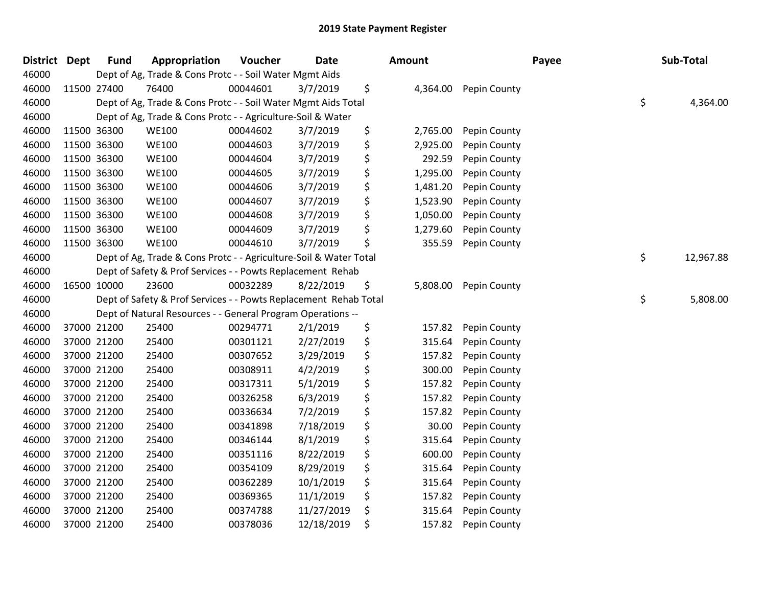| District Dept | <b>Fund</b> | Appropriation                                                     | Voucher  | <b>Date</b> | Amount         |              | Payee | Sub-Total       |
|---------------|-------------|-------------------------------------------------------------------|----------|-------------|----------------|--------------|-------|-----------------|
| 46000         |             | Dept of Ag, Trade & Cons Protc - - Soil Water Mgmt Aids           |          |             |                |              |       |                 |
| 46000         | 11500 27400 | 76400                                                             | 00044601 | 3/7/2019    | \$<br>4,364.00 | Pepin County |       |                 |
| 46000         |             | Dept of Ag, Trade & Cons Protc - - Soil Water Mgmt Aids Total     |          |             |                |              |       | \$<br>4,364.00  |
| 46000         |             | Dept of Ag, Trade & Cons Protc - - Agriculture-Soil & Water       |          |             |                |              |       |                 |
| 46000         | 11500 36300 | <b>WE100</b>                                                      | 00044602 | 3/7/2019    | \$<br>2,765.00 | Pepin County |       |                 |
| 46000         | 11500 36300 | <b>WE100</b>                                                      | 00044603 | 3/7/2019    | \$<br>2,925.00 | Pepin County |       |                 |
| 46000         | 11500 36300 | <b>WE100</b>                                                      | 00044604 | 3/7/2019    | \$<br>292.59   | Pepin County |       |                 |
| 46000         | 11500 36300 | <b>WE100</b>                                                      | 00044605 | 3/7/2019    | \$<br>1,295.00 | Pepin County |       |                 |
| 46000         | 11500 36300 | <b>WE100</b>                                                      | 00044606 | 3/7/2019    | \$<br>1,481.20 | Pepin County |       |                 |
| 46000         | 11500 36300 | <b>WE100</b>                                                      | 00044607 | 3/7/2019    | \$<br>1,523.90 | Pepin County |       |                 |
| 46000         | 11500 36300 | <b>WE100</b>                                                      | 00044608 | 3/7/2019    | \$<br>1,050.00 | Pepin County |       |                 |
| 46000         | 11500 36300 | <b>WE100</b>                                                      | 00044609 | 3/7/2019    | \$<br>1,279.60 | Pepin County |       |                 |
| 46000         | 11500 36300 | <b>WE100</b>                                                      | 00044610 | 3/7/2019    | \$<br>355.59   | Pepin County |       |                 |
| 46000         |             | Dept of Ag, Trade & Cons Protc - - Agriculture-Soil & Water Total |          |             |                |              |       | \$<br>12,967.88 |
| 46000         |             | Dept of Safety & Prof Services - - Powts Replacement Rehab        |          |             |                |              |       |                 |
| 46000         | 16500 10000 | 23600                                                             | 00032289 | 8/22/2019   | \$<br>5,808.00 | Pepin County |       |                 |
| 46000         |             | Dept of Safety & Prof Services - - Powts Replacement Rehab Total  |          |             |                |              |       | \$<br>5,808.00  |
| 46000         |             | Dept of Natural Resources - - General Program Operations --       |          |             |                |              |       |                 |
| 46000         | 37000 21200 | 25400                                                             | 00294771 | 2/1/2019    | \$<br>157.82   | Pepin County |       |                 |
| 46000         | 37000 21200 | 25400                                                             | 00301121 | 2/27/2019   | \$<br>315.64   | Pepin County |       |                 |
| 46000         | 37000 21200 | 25400                                                             | 00307652 | 3/29/2019   | \$<br>157.82   | Pepin County |       |                 |
| 46000         | 37000 21200 | 25400                                                             | 00308911 | 4/2/2019    | \$<br>300.00   | Pepin County |       |                 |
| 46000         | 37000 21200 | 25400                                                             | 00317311 | 5/1/2019    | \$<br>157.82   | Pepin County |       |                 |
| 46000         | 37000 21200 | 25400                                                             | 00326258 | 6/3/2019    | \$<br>157.82   | Pepin County |       |                 |
| 46000         | 37000 21200 | 25400                                                             | 00336634 | 7/2/2019    | \$<br>157.82   | Pepin County |       |                 |
| 46000         | 37000 21200 | 25400                                                             | 00341898 | 7/18/2019   | \$<br>30.00    | Pepin County |       |                 |
| 46000         | 37000 21200 | 25400                                                             | 00346144 | 8/1/2019    | \$<br>315.64   | Pepin County |       |                 |
| 46000         | 37000 21200 | 25400                                                             | 00351116 | 8/22/2019   | \$<br>600.00   | Pepin County |       |                 |
| 46000         | 37000 21200 | 25400                                                             | 00354109 | 8/29/2019   | \$<br>315.64   | Pepin County |       |                 |
| 46000         | 37000 21200 | 25400                                                             | 00362289 | 10/1/2019   | \$<br>315.64   | Pepin County |       |                 |
| 46000         | 37000 21200 | 25400                                                             | 00369365 | 11/1/2019   | \$<br>157.82   | Pepin County |       |                 |
| 46000         | 37000 21200 | 25400                                                             | 00374788 | 11/27/2019  | \$<br>315.64   | Pepin County |       |                 |
| 46000         | 37000 21200 | 25400                                                             | 00378036 | 12/18/2019  | \$<br>157.82   | Pepin County |       |                 |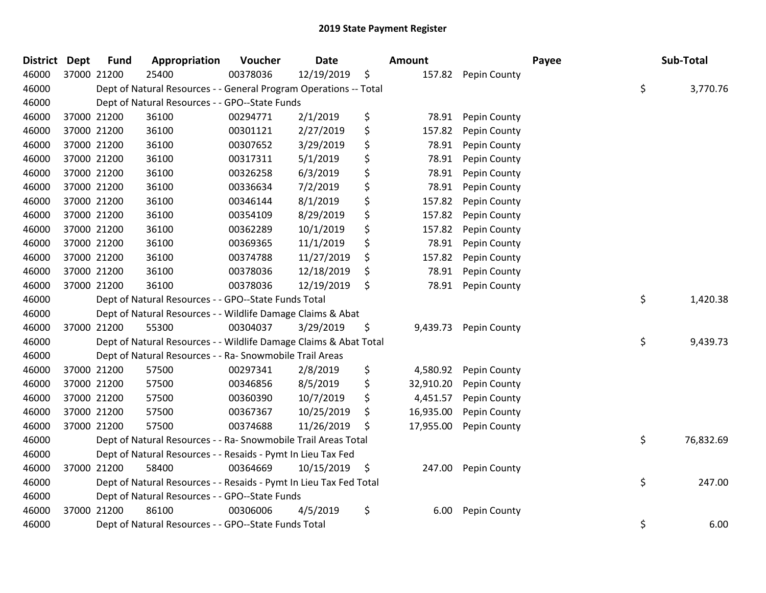| <b>District</b> | <b>Dept</b> | <b>Fund</b> | Appropriation                                                      | Voucher  | <b>Date</b> |    | Amount    |              | Payee | Sub-Total       |
|-----------------|-------------|-------------|--------------------------------------------------------------------|----------|-------------|----|-----------|--------------|-------|-----------------|
| 46000           |             | 37000 21200 | 25400                                                              | 00378036 | 12/19/2019  | \$ | 157.82    | Pepin County |       |                 |
| 46000           |             |             | Dept of Natural Resources - - General Program Operations -- Total  |          |             |    |           |              |       | \$<br>3,770.76  |
| 46000           |             |             | Dept of Natural Resources - - GPO--State Funds                     |          |             |    |           |              |       |                 |
| 46000           |             | 37000 21200 | 36100                                                              | 00294771 | 2/1/2019    | \$ | 78.91     | Pepin County |       |                 |
| 46000           |             | 37000 21200 | 36100                                                              | 00301121 | 2/27/2019   | \$ | 157.82    | Pepin County |       |                 |
| 46000           |             | 37000 21200 | 36100                                                              | 00307652 | 3/29/2019   | \$ | 78.91     | Pepin County |       |                 |
| 46000           |             | 37000 21200 | 36100                                                              | 00317311 | 5/1/2019    | \$ | 78.91     | Pepin County |       |                 |
| 46000           |             | 37000 21200 | 36100                                                              | 00326258 | 6/3/2019    | \$ | 78.91     | Pepin County |       |                 |
| 46000           |             | 37000 21200 | 36100                                                              | 00336634 | 7/2/2019    | \$ | 78.91     | Pepin County |       |                 |
| 46000           |             | 37000 21200 | 36100                                                              | 00346144 | 8/1/2019    | \$ | 157.82    | Pepin County |       |                 |
| 46000           |             | 37000 21200 | 36100                                                              | 00354109 | 8/29/2019   | \$ | 157.82    | Pepin County |       |                 |
| 46000           |             | 37000 21200 | 36100                                                              | 00362289 | 10/1/2019   | \$ | 157.82    | Pepin County |       |                 |
| 46000           |             | 37000 21200 | 36100                                                              | 00369365 | 11/1/2019   | \$ | 78.91     | Pepin County |       |                 |
| 46000           |             | 37000 21200 | 36100                                                              | 00374788 | 11/27/2019  | \$ | 157.82    | Pepin County |       |                 |
| 46000           |             | 37000 21200 | 36100                                                              | 00378036 | 12/18/2019  | \$ | 78.91     | Pepin County |       |                 |
| 46000           |             | 37000 21200 | 36100                                                              | 00378036 | 12/19/2019  | \$ | 78.91     | Pepin County |       |                 |
| 46000           |             |             | Dept of Natural Resources - - GPO--State Funds Total               |          |             |    |           |              |       | \$<br>1,420.38  |
| 46000           |             |             | Dept of Natural Resources - - Wildlife Damage Claims & Abat        |          |             |    |           |              |       |                 |
| 46000           |             | 37000 21200 | 55300                                                              | 00304037 | 3/29/2019   | \$ | 9,439.73  | Pepin County |       |                 |
| 46000           |             |             | Dept of Natural Resources - - Wildlife Damage Claims & Abat Total  |          |             |    |           |              |       | \$<br>9,439.73  |
| 46000           |             |             | Dept of Natural Resources - - Ra- Snowmobile Trail Areas           |          |             |    |           |              |       |                 |
| 46000           |             | 37000 21200 | 57500                                                              | 00297341 | 2/8/2019    | \$ | 4,580.92  | Pepin County |       |                 |
| 46000           |             | 37000 21200 | 57500                                                              | 00346856 | 8/5/2019    | \$ | 32,910.20 | Pepin County |       |                 |
| 46000           |             | 37000 21200 | 57500                                                              | 00360390 | 10/7/2019   | \$ | 4,451.57  | Pepin County |       |                 |
| 46000           |             | 37000 21200 | 57500                                                              | 00367367 | 10/25/2019  | \$ | 16,935.00 | Pepin County |       |                 |
| 46000           |             | 37000 21200 | 57500                                                              | 00374688 | 11/26/2019  | S  | 17,955.00 | Pepin County |       |                 |
| 46000           |             |             | Dept of Natural Resources - - Ra- Snowmobile Trail Areas Total     |          |             |    |           |              |       | \$<br>76,832.69 |
| 46000           |             |             | Dept of Natural Resources - - Resaids - Pymt In Lieu Tax Fed       |          |             |    |           |              |       |                 |
| 46000           |             | 37000 21200 | 58400                                                              | 00364669 | 10/15/2019  | \$ | 247.00    | Pepin County |       |                 |
| 46000           |             |             | Dept of Natural Resources - - Resaids - Pymt In Lieu Tax Fed Total |          |             |    |           |              |       | \$<br>247.00    |
| 46000           |             |             | Dept of Natural Resources - - GPO--State Funds                     |          |             |    |           |              |       |                 |
| 46000           |             | 37000 21200 | 86100                                                              | 00306006 | 4/5/2019    | \$ | 6.00      | Pepin County |       |                 |
| 46000           |             |             | Dept of Natural Resources - - GPO--State Funds Total               |          |             |    |           |              |       | \$<br>6.00      |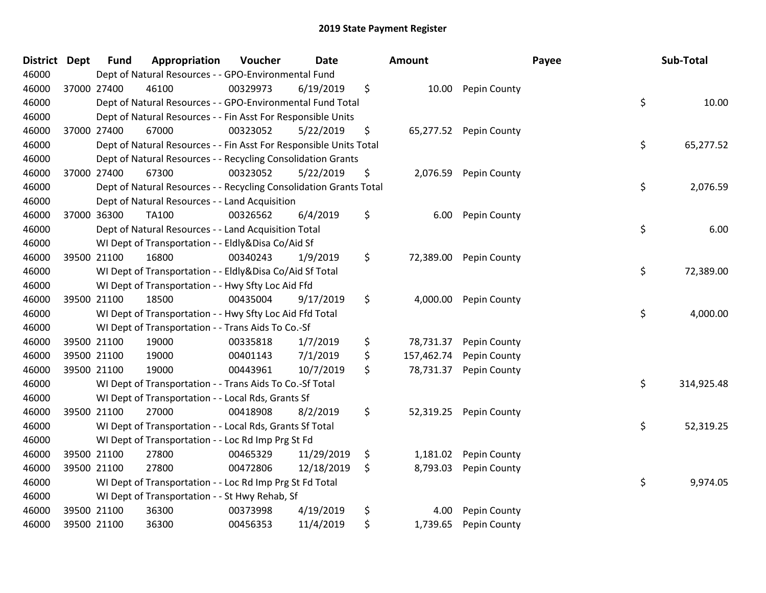| District | <b>Dept</b> | <b>Fund</b> | Appropriation                                                      | Voucher  | <b>Date</b> | <b>Amount</b>    |              | Payee | Sub-Total  |
|----------|-------------|-------------|--------------------------------------------------------------------|----------|-------------|------------------|--------------|-------|------------|
| 46000    |             |             | Dept of Natural Resources - - GPO-Environmental Fund               |          |             |                  |              |       |            |
| 46000    |             | 37000 27400 | 46100                                                              | 00329973 | 6/19/2019   | \$<br>10.00      | Pepin County |       |            |
| 46000    |             |             | Dept of Natural Resources - - GPO-Environmental Fund Total         |          |             |                  |              | \$    | 10.00      |
| 46000    |             |             | Dept of Natural Resources - - Fin Asst For Responsible Units       |          |             |                  |              |       |            |
| 46000    |             | 37000 27400 | 67000                                                              | 00323052 | 5/22/2019   | \$<br>65,277.52  | Pepin County |       |            |
| 46000    |             |             | Dept of Natural Resources - - Fin Asst For Responsible Units Total |          |             |                  |              | \$    | 65,277.52  |
| 46000    |             |             | Dept of Natural Resources - - Recycling Consolidation Grants       |          |             |                  |              |       |            |
| 46000    |             | 37000 27400 | 67300                                                              | 00323052 | 5/22/2019   | \$<br>2,076.59   | Pepin County |       |            |
| 46000    |             |             | Dept of Natural Resources - - Recycling Consolidation Grants Total |          |             |                  |              | \$    | 2,076.59   |
| 46000    |             |             | Dept of Natural Resources - - Land Acquisition                     |          |             |                  |              |       |            |
| 46000    |             | 37000 36300 | TA100                                                              | 00326562 | 6/4/2019    | \$<br>6.00       | Pepin County |       |            |
| 46000    |             |             | Dept of Natural Resources - - Land Acquisition Total               |          |             |                  |              | \$    | 6.00       |
| 46000    |             |             | WI Dept of Transportation - - Eldly&Disa Co/Aid Sf                 |          |             |                  |              |       |            |
| 46000    |             | 39500 21100 | 16800                                                              | 00340243 | 1/9/2019    | \$<br>72,389.00  | Pepin County |       |            |
| 46000    |             |             | WI Dept of Transportation - - Eldly&Disa Co/Aid Sf Total           |          |             |                  |              | \$    | 72,389.00  |
| 46000    |             |             | WI Dept of Transportation - - Hwy Sfty Loc Aid Ffd                 |          |             |                  |              |       |            |
| 46000    |             | 39500 21100 | 18500                                                              | 00435004 | 9/17/2019   | \$<br>4,000.00   | Pepin County |       |            |
| 46000    |             |             | WI Dept of Transportation - - Hwy Sfty Loc Aid Ffd Total           |          |             |                  |              | \$    | 4,000.00   |
| 46000    |             |             | WI Dept of Transportation - - Trans Aids To Co.-Sf                 |          |             |                  |              |       |            |
| 46000    |             | 39500 21100 | 19000                                                              | 00335818 | 1/7/2019    | \$<br>78,731.37  | Pepin County |       |            |
| 46000    |             | 39500 21100 | 19000                                                              | 00401143 | 7/1/2019    | \$<br>157,462.74 | Pepin County |       |            |
| 46000    |             | 39500 21100 | 19000                                                              | 00443961 | 10/7/2019   | \$<br>78,731.37  | Pepin County |       |            |
| 46000    |             |             | WI Dept of Transportation - - Trans Aids To Co.-Sf Total           |          |             |                  |              | \$    | 314,925.48 |
| 46000    |             |             | WI Dept of Transportation - - Local Rds, Grants Sf                 |          |             |                  |              |       |            |
| 46000    |             | 39500 21100 | 27000                                                              | 00418908 | 8/2/2019    | \$<br>52,319.25  | Pepin County |       |            |
| 46000    |             |             | WI Dept of Transportation - - Local Rds, Grants Sf Total           |          |             |                  |              | \$    | 52,319.25  |
| 46000    |             |             | WI Dept of Transportation - - Loc Rd Imp Prg St Fd                 |          |             |                  |              |       |            |
| 46000    |             | 39500 21100 | 27800                                                              | 00465329 | 11/29/2019  | \$<br>1,181.02   | Pepin County |       |            |
| 46000    |             | 39500 21100 | 27800                                                              | 00472806 | 12/18/2019  | \$<br>8,793.03   | Pepin County |       |            |
| 46000    |             |             | WI Dept of Transportation - - Loc Rd Imp Prg St Fd Total           |          |             |                  |              | \$    | 9,974.05   |
| 46000    |             |             | WI Dept of Transportation - - St Hwy Rehab, Sf                     |          |             |                  |              |       |            |
| 46000    |             | 39500 21100 | 36300                                                              | 00373998 | 4/19/2019   | \$<br>4.00       | Pepin County |       |            |
| 46000    |             | 39500 21100 | 36300                                                              | 00456353 | 11/4/2019   | \$<br>1,739.65   | Pepin County |       |            |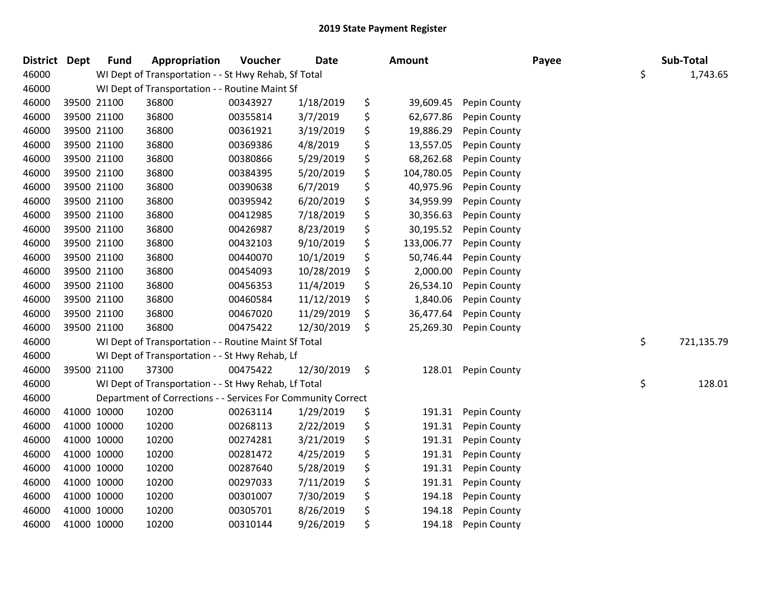| District Dept |             | <b>Fund</b> | Appropriation                                                | Voucher  | <b>Date</b> | Amount           |              | Payee | Sub-Total        |  |
|---------------|-------------|-------------|--------------------------------------------------------------|----------|-------------|------------------|--------------|-------|------------------|--|
| 46000         |             |             | WI Dept of Transportation - - St Hwy Rehab, Sf Total         |          |             |                  |              |       | \$<br>1,743.65   |  |
| 46000         |             |             | WI Dept of Transportation - - Routine Maint Sf               |          |             |                  |              |       |                  |  |
| 46000         |             | 39500 21100 | 36800                                                        | 00343927 | 1/18/2019   | \$<br>39,609.45  | Pepin County |       |                  |  |
| 46000         | 39500 21100 |             | 36800                                                        | 00355814 | 3/7/2019    | \$<br>62,677.86  | Pepin County |       |                  |  |
| 46000         | 39500 21100 |             | 36800                                                        | 00361921 | 3/19/2019   | \$<br>19,886.29  | Pepin County |       |                  |  |
| 46000         | 39500 21100 |             | 36800                                                        | 00369386 | 4/8/2019    | \$<br>13,557.05  | Pepin County |       |                  |  |
| 46000         | 39500 21100 |             | 36800                                                        | 00380866 | 5/29/2019   | \$<br>68,262.68  | Pepin County |       |                  |  |
| 46000         | 39500 21100 |             | 36800                                                        | 00384395 | 5/20/2019   | \$<br>104,780.05 | Pepin County |       |                  |  |
| 46000         | 39500 21100 |             | 36800                                                        | 00390638 | 6/7/2019    | \$<br>40,975.96  | Pepin County |       |                  |  |
| 46000         | 39500 21100 |             | 36800                                                        | 00395942 | 6/20/2019   | \$<br>34,959.99  | Pepin County |       |                  |  |
| 46000         | 39500 21100 |             | 36800                                                        | 00412985 | 7/18/2019   | \$<br>30,356.63  | Pepin County |       |                  |  |
| 46000         | 39500 21100 |             | 36800                                                        | 00426987 | 8/23/2019   | \$<br>30,195.52  | Pepin County |       |                  |  |
| 46000         | 39500 21100 |             | 36800                                                        | 00432103 | 9/10/2019   | \$<br>133,006.77 | Pepin County |       |                  |  |
| 46000         | 39500 21100 |             | 36800                                                        | 00440070 | 10/1/2019   | \$<br>50,746.44  | Pepin County |       |                  |  |
| 46000         | 39500 21100 |             | 36800                                                        | 00454093 | 10/28/2019  | \$<br>2,000.00   | Pepin County |       |                  |  |
| 46000         | 39500 21100 |             | 36800                                                        | 00456353 | 11/4/2019   | \$<br>26,534.10  | Pepin County |       |                  |  |
| 46000         | 39500 21100 |             | 36800                                                        | 00460584 | 11/12/2019  | \$<br>1,840.06   | Pepin County |       |                  |  |
| 46000         | 39500 21100 |             | 36800                                                        | 00467020 | 11/29/2019  | \$<br>36,477.64  | Pepin County |       |                  |  |
| 46000         | 39500 21100 |             | 36800                                                        | 00475422 | 12/30/2019  | \$<br>25,269.30  | Pepin County |       |                  |  |
| 46000         |             |             | WI Dept of Transportation - - Routine Maint Sf Total         |          |             |                  |              |       | \$<br>721,135.79 |  |
| 46000         |             |             | WI Dept of Transportation - - St Hwy Rehab, Lf               |          |             |                  |              |       |                  |  |
| 46000         | 39500 21100 |             | 37300                                                        | 00475422 | 12/30/2019  | \$<br>128.01     | Pepin County |       |                  |  |
| 46000         |             |             | WI Dept of Transportation - - St Hwy Rehab, Lf Total         |          |             |                  |              |       | \$<br>128.01     |  |
| 46000         |             |             | Department of Corrections - - Services For Community Correct |          |             |                  |              |       |                  |  |
| 46000         |             | 41000 10000 | 10200                                                        | 00263114 | 1/29/2019   | \$<br>191.31     | Pepin County |       |                  |  |
| 46000         | 41000 10000 |             | 10200                                                        | 00268113 | 2/22/2019   | \$<br>191.31     | Pepin County |       |                  |  |
| 46000         | 41000 10000 |             | 10200                                                        | 00274281 | 3/21/2019   | \$<br>191.31     | Pepin County |       |                  |  |
| 46000         | 41000 10000 |             | 10200                                                        | 00281472 | 4/25/2019   | \$<br>191.31     | Pepin County |       |                  |  |
| 46000         | 41000 10000 |             | 10200                                                        | 00287640 | 5/28/2019   | \$<br>191.31     | Pepin County |       |                  |  |
| 46000         |             | 41000 10000 | 10200                                                        | 00297033 | 7/11/2019   | \$<br>191.31     | Pepin County |       |                  |  |
| 46000         | 41000 10000 |             | 10200                                                        | 00301007 | 7/30/2019   | \$<br>194.18     | Pepin County |       |                  |  |
| 46000         | 41000 10000 |             | 10200                                                        | 00305701 | 8/26/2019   | \$<br>194.18     | Pepin County |       |                  |  |
| 46000         | 41000 10000 |             | 10200                                                        | 00310144 | 9/26/2019   | \$<br>194.18     | Pepin County |       |                  |  |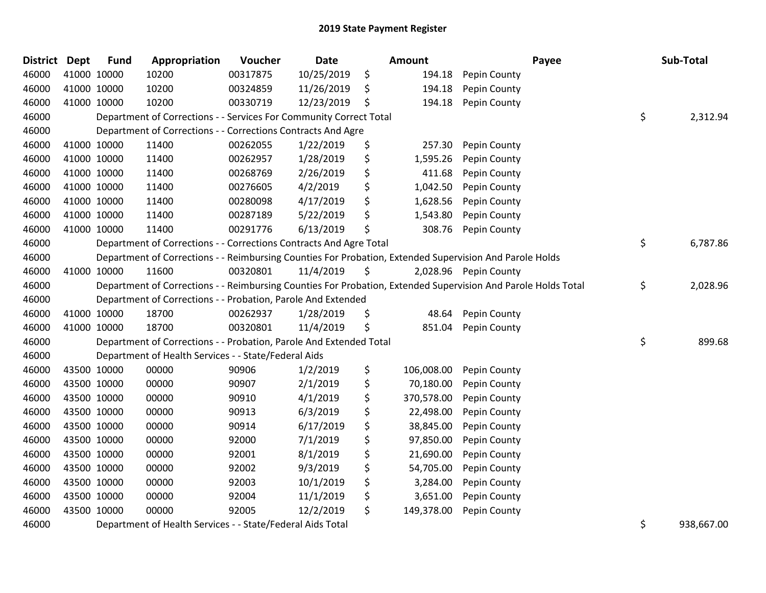| District Dept | <b>Fund</b> | Appropriation                                                      | Voucher  | <b>Date</b> | Amount           | Payee                                                                                                         | Sub-Total        |
|---------------|-------------|--------------------------------------------------------------------|----------|-------------|------------------|---------------------------------------------------------------------------------------------------------------|------------------|
| 46000         | 41000 10000 | 10200                                                              | 00317875 | 10/25/2019  | \$<br>194.18     | Pepin County                                                                                                  |                  |
| 46000         | 41000 10000 | 10200                                                              | 00324859 | 11/26/2019  | \$<br>194.18     | Pepin County                                                                                                  |                  |
| 46000         | 41000 10000 | 10200                                                              | 00330719 | 12/23/2019  | \$<br>194.18     | Pepin County                                                                                                  |                  |
| 46000         |             | Department of Corrections - - Services For Community Correct Total |          |             |                  |                                                                                                               | \$<br>2,312.94   |
| 46000         |             | Department of Corrections - - Corrections Contracts And Agre       |          |             |                  |                                                                                                               |                  |
| 46000         | 41000 10000 | 11400                                                              | 00262055 | 1/22/2019   | \$<br>257.30     | Pepin County                                                                                                  |                  |
| 46000         | 41000 10000 | 11400                                                              | 00262957 | 1/28/2019   | \$<br>1,595.26   | Pepin County                                                                                                  |                  |
| 46000         | 41000 10000 | 11400                                                              | 00268769 | 2/26/2019   | \$<br>411.68     | Pepin County                                                                                                  |                  |
| 46000         | 41000 10000 | 11400                                                              | 00276605 | 4/2/2019    | \$<br>1,042.50   | Pepin County                                                                                                  |                  |
| 46000         | 41000 10000 | 11400                                                              | 00280098 | 4/17/2019   | \$<br>1,628.56   | Pepin County                                                                                                  |                  |
| 46000         | 41000 10000 | 11400                                                              | 00287189 | 5/22/2019   | \$<br>1,543.80   | Pepin County                                                                                                  |                  |
| 46000         | 41000 10000 | 11400                                                              | 00291776 | 6/13/2019   | \$<br>308.76     | Pepin County                                                                                                  |                  |
| 46000         |             | Department of Corrections - - Corrections Contracts And Agre Total |          |             |                  |                                                                                                               | \$<br>6,787.86   |
| 46000         |             |                                                                    |          |             |                  | Department of Corrections - - Reimbursing Counties For Probation, Extended Supervision And Parole Holds       |                  |
| 46000         | 41000 10000 | 11600                                                              | 00320801 | 11/4/2019   | \$               | 2,028.96 Pepin County                                                                                         |                  |
| 46000         |             |                                                                    |          |             |                  | Department of Corrections - - Reimbursing Counties For Probation, Extended Supervision And Parole Holds Total | \$<br>2,028.96   |
| 46000         |             | Department of Corrections - - Probation, Parole And Extended       |          |             |                  |                                                                                                               |                  |
| 46000         | 41000 10000 | 18700                                                              | 00262937 | 1/28/2019   | \$<br>48.64      | Pepin County                                                                                                  |                  |
| 46000         | 41000 10000 | 18700                                                              | 00320801 | 11/4/2019   | \$<br>851.04     | Pepin County                                                                                                  |                  |
| 46000         |             | Department of Corrections - - Probation, Parole And Extended Total |          |             |                  |                                                                                                               | \$<br>899.68     |
| 46000         |             | Department of Health Services - - State/Federal Aids               |          |             |                  |                                                                                                               |                  |
| 46000         | 43500 10000 | 00000                                                              | 90906    | 1/2/2019    | \$<br>106,008.00 | Pepin County                                                                                                  |                  |
| 46000         | 43500 10000 | 00000                                                              | 90907    | 2/1/2019    | \$<br>70,180.00  | Pepin County                                                                                                  |                  |
| 46000         | 43500 10000 | 00000                                                              | 90910    | 4/1/2019    | \$<br>370,578.00 | Pepin County                                                                                                  |                  |
| 46000         | 43500 10000 | 00000                                                              | 90913    | 6/3/2019    | \$<br>22,498.00  | Pepin County                                                                                                  |                  |
| 46000         | 43500 10000 | 00000                                                              | 90914    | 6/17/2019   | \$<br>38,845.00  | Pepin County                                                                                                  |                  |
| 46000         | 43500 10000 | 00000                                                              | 92000    | 7/1/2019    | \$<br>97,850.00  | Pepin County                                                                                                  |                  |
| 46000         | 43500 10000 | 00000                                                              | 92001    | 8/1/2019    | \$<br>21,690.00  | Pepin County                                                                                                  |                  |
| 46000         | 43500 10000 | 00000                                                              | 92002    | 9/3/2019    | \$<br>54,705.00  | Pepin County                                                                                                  |                  |
| 46000         | 43500 10000 | 00000                                                              | 92003    | 10/1/2019   | \$<br>3,284.00   | Pepin County                                                                                                  |                  |
| 46000         | 43500 10000 | 00000                                                              | 92004    | 11/1/2019   | \$<br>3,651.00   | Pepin County                                                                                                  |                  |
| 46000         | 43500 10000 | 00000                                                              | 92005    | 12/2/2019   | \$<br>149,378.00 | Pepin County                                                                                                  |                  |
| 46000         |             | Department of Health Services - - State/Federal Aids Total         |          |             |                  |                                                                                                               | \$<br>938,667.00 |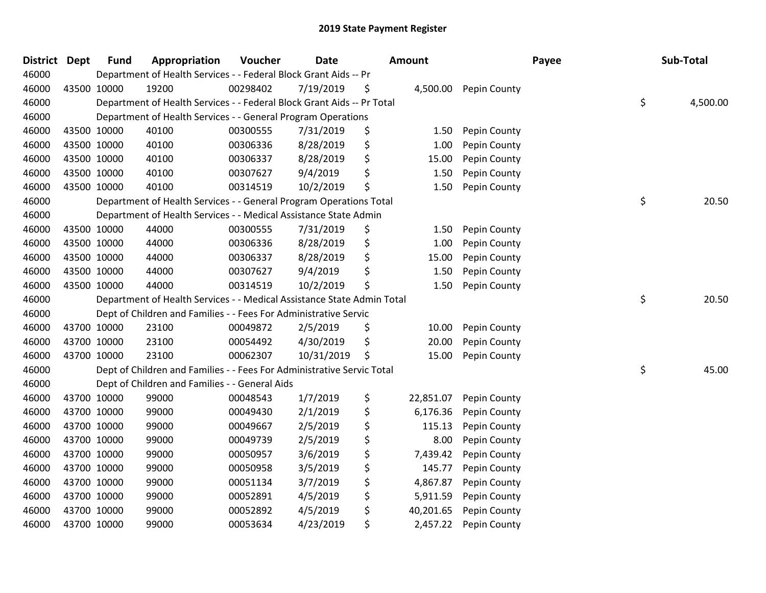| <b>District</b> | <b>Dept</b> | <b>Fund</b> | Appropriation                                                          | Voucher  | <b>Date</b> | <b>Amount</b>   |              | Payee | Sub-Total      |
|-----------------|-------------|-------------|------------------------------------------------------------------------|----------|-------------|-----------------|--------------|-------|----------------|
| 46000           |             |             | Department of Health Services - - Federal Block Grant Aids -- Pr       |          |             |                 |              |       |                |
| 46000           |             | 43500 10000 | 19200                                                                  | 00298402 | 7/19/2019   | \$<br>4,500.00  | Pepin County |       |                |
| 46000           |             |             | Department of Health Services - - Federal Block Grant Aids -- Pr Total |          |             |                 |              |       | \$<br>4,500.00 |
| 46000           |             |             | Department of Health Services - - General Program Operations           |          |             |                 |              |       |                |
| 46000           |             | 43500 10000 | 40100                                                                  | 00300555 | 7/31/2019   | \$<br>1.50      | Pepin County |       |                |
| 46000           |             | 43500 10000 | 40100                                                                  | 00306336 | 8/28/2019   | \$<br>1.00      | Pepin County |       |                |
| 46000           | 43500 10000 |             | 40100                                                                  | 00306337 | 8/28/2019   | \$<br>15.00     | Pepin County |       |                |
| 46000           | 43500 10000 |             | 40100                                                                  | 00307627 | 9/4/2019    | \$<br>1.50      | Pepin County |       |                |
| 46000           | 43500 10000 |             | 40100                                                                  | 00314519 | 10/2/2019   | \$<br>1.50      | Pepin County |       |                |
| 46000           |             |             | Department of Health Services - - General Program Operations Total     |          |             |                 |              |       | \$<br>20.50    |
| 46000           |             |             | Department of Health Services - - Medical Assistance State Admin       |          |             |                 |              |       |                |
| 46000           |             | 43500 10000 | 44000                                                                  | 00300555 | 7/31/2019   | \$<br>1.50      | Pepin County |       |                |
| 46000           | 43500 10000 |             | 44000                                                                  | 00306336 | 8/28/2019   | \$<br>1.00      | Pepin County |       |                |
| 46000           | 43500 10000 |             | 44000                                                                  | 00306337 | 8/28/2019   | \$<br>15.00     | Pepin County |       |                |
| 46000           | 43500 10000 |             | 44000                                                                  | 00307627 | 9/4/2019    | \$<br>1.50      | Pepin County |       |                |
| 46000           |             | 43500 10000 | 44000                                                                  | 00314519 | 10/2/2019   | \$<br>1.50      | Pepin County |       |                |
| 46000           |             |             | Department of Health Services - - Medical Assistance State Admin Total |          |             |                 |              |       | \$<br>20.50    |
| 46000           |             |             | Dept of Children and Families - - Fees For Administrative Servic       |          |             |                 |              |       |                |
| 46000           |             | 43700 10000 | 23100                                                                  | 00049872 | 2/5/2019    | \$<br>10.00     | Pepin County |       |                |
| 46000           |             | 43700 10000 | 23100                                                                  | 00054492 | 4/30/2019   | \$<br>20.00     | Pepin County |       |                |
| 46000           | 43700 10000 |             | 23100                                                                  | 00062307 | 10/31/2019  | \$<br>15.00     | Pepin County |       |                |
| 46000           |             |             | Dept of Children and Families - - Fees For Administrative Servic Total |          |             |                 |              |       | \$<br>45.00    |
| 46000           |             |             | Dept of Children and Families - - General Aids                         |          |             |                 |              |       |                |
| 46000           |             | 43700 10000 | 99000                                                                  | 00048543 | 1/7/2019    | \$<br>22,851.07 | Pepin County |       |                |
| 46000           | 43700 10000 |             | 99000                                                                  | 00049430 | 2/1/2019    | \$<br>6,176.36  | Pepin County |       |                |
| 46000           | 43700 10000 |             | 99000                                                                  | 00049667 | 2/5/2019    | \$<br>115.13    | Pepin County |       |                |
| 46000           | 43700 10000 |             | 99000                                                                  | 00049739 | 2/5/2019    | \$<br>8.00      | Pepin County |       |                |
| 46000           | 43700 10000 |             | 99000                                                                  | 00050957 | 3/6/2019    | \$<br>7,439.42  | Pepin County |       |                |
| 46000           | 43700 10000 |             | 99000                                                                  | 00050958 | 3/5/2019    | \$<br>145.77    | Pepin County |       |                |
| 46000           | 43700 10000 |             | 99000                                                                  | 00051134 | 3/7/2019    | \$<br>4,867.87  | Pepin County |       |                |
| 46000           |             | 43700 10000 | 99000                                                                  | 00052891 | 4/5/2019    | \$<br>5,911.59  | Pepin County |       |                |
| 46000           |             | 43700 10000 | 99000                                                                  | 00052892 | 4/5/2019    | \$<br>40,201.65 | Pepin County |       |                |
| 46000           | 43700 10000 |             | 99000                                                                  | 00053634 | 4/23/2019   | \$<br>2,457.22  | Pepin County |       |                |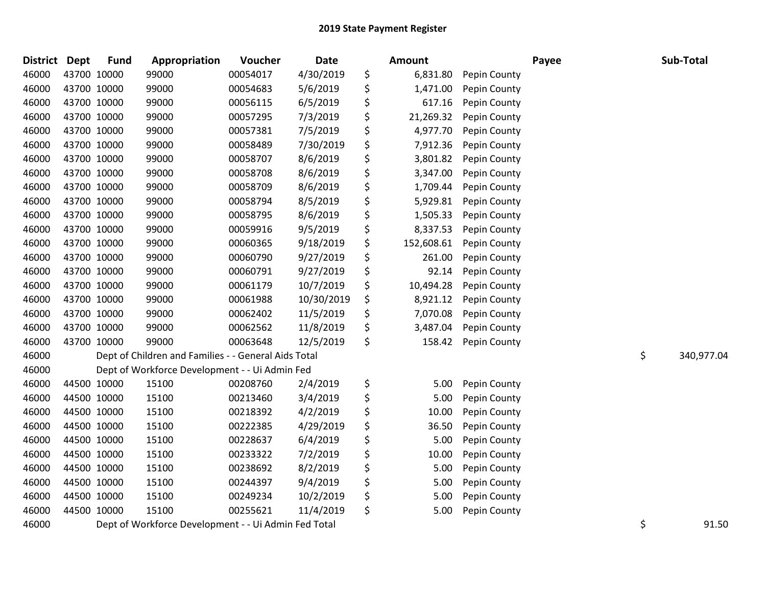| <b>District</b> | <b>Dept</b> | <b>Fund</b> | Appropriation                                        | Voucher  | <b>Date</b> | <b>Amount</b>    |              | Payee | Sub-Total        |
|-----------------|-------------|-------------|------------------------------------------------------|----------|-------------|------------------|--------------|-------|------------------|
| 46000           |             | 43700 10000 | 99000                                                | 00054017 | 4/30/2019   | \$<br>6,831.80   | Pepin County |       |                  |
| 46000           |             | 43700 10000 | 99000                                                | 00054683 | 5/6/2019    | \$<br>1,471.00   | Pepin County |       |                  |
| 46000           |             | 43700 10000 | 99000                                                | 00056115 | 6/5/2019    | \$<br>617.16     | Pepin County |       |                  |
| 46000           | 43700 10000 |             | 99000                                                | 00057295 | 7/3/2019    | \$<br>21,269.32  | Pepin County |       |                  |
| 46000           |             | 43700 10000 | 99000                                                | 00057381 | 7/5/2019    | \$<br>4,977.70   | Pepin County |       |                  |
| 46000           |             | 43700 10000 | 99000                                                | 00058489 | 7/30/2019   | \$<br>7,912.36   | Pepin County |       |                  |
| 46000           |             | 43700 10000 | 99000                                                | 00058707 | 8/6/2019    | \$<br>3,801.82   | Pepin County |       |                  |
| 46000           |             | 43700 10000 | 99000                                                | 00058708 | 8/6/2019    | \$<br>3,347.00   | Pepin County |       |                  |
| 46000           |             | 43700 10000 | 99000                                                | 00058709 | 8/6/2019    | \$<br>1,709.44   | Pepin County |       |                  |
| 46000           |             | 43700 10000 | 99000                                                | 00058794 | 8/5/2019    | \$<br>5,929.81   | Pepin County |       |                  |
| 46000           |             | 43700 10000 | 99000                                                | 00058795 | 8/6/2019    | \$<br>1,505.33   | Pepin County |       |                  |
| 46000           |             | 43700 10000 | 99000                                                | 00059916 | 9/5/2019    | \$<br>8,337.53   | Pepin County |       |                  |
| 46000           |             | 43700 10000 | 99000                                                | 00060365 | 9/18/2019   | \$<br>152,608.61 | Pepin County |       |                  |
| 46000           |             | 43700 10000 | 99000                                                | 00060790 | 9/27/2019   | \$<br>261.00     | Pepin County |       |                  |
| 46000           |             | 43700 10000 | 99000                                                | 00060791 | 9/27/2019   | \$<br>92.14      | Pepin County |       |                  |
| 46000           |             | 43700 10000 | 99000                                                | 00061179 | 10/7/2019   | \$<br>10,494.28  | Pepin County |       |                  |
| 46000           |             | 43700 10000 | 99000                                                | 00061988 | 10/30/2019  | \$<br>8,921.12   | Pepin County |       |                  |
| 46000           |             | 43700 10000 | 99000                                                | 00062402 | 11/5/2019   | \$<br>7,070.08   | Pepin County |       |                  |
| 46000           |             | 43700 10000 | 99000                                                | 00062562 | 11/8/2019   | \$<br>3,487.04   | Pepin County |       |                  |
| 46000           |             | 43700 10000 | 99000                                                | 00063648 | 12/5/2019   | \$<br>158.42     | Pepin County |       |                  |
| 46000           |             |             | Dept of Children and Families - - General Aids Total |          |             |                  |              |       | \$<br>340,977.04 |
| 46000           |             |             | Dept of Workforce Development - - Ui Admin Fed       |          |             |                  |              |       |                  |
| 46000           |             | 44500 10000 | 15100                                                | 00208760 | 2/4/2019    | \$<br>5.00       | Pepin County |       |                  |
| 46000           |             | 44500 10000 | 15100                                                | 00213460 | 3/4/2019    | \$<br>5.00       | Pepin County |       |                  |
| 46000           |             | 44500 10000 | 15100                                                | 00218392 | 4/2/2019    | \$<br>10.00      | Pepin County |       |                  |
| 46000           |             | 44500 10000 | 15100                                                | 00222385 | 4/29/2019   | \$<br>36.50      | Pepin County |       |                  |
| 46000           |             | 44500 10000 | 15100                                                | 00228637 | 6/4/2019    | \$<br>5.00       | Pepin County |       |                  |
| 46000           |             | 44500 10000 | 15100                                                | 00233322 | 7/2/2019    | \$<br>10.00      | Pepin County |       |                  |
| 46000           |             | 44500 10000 | 15100                                                | 00238692 | 8/2/2019    | \$<br>5.00       | Pepin County |       |                  |
| 46000           |             | 44500 10000 | 15100                                                | 00244397 | 9/4/2019    | \$<br>5.00       | Pepin County |       |                  |
| 46000           |             | 44500 10000 | 15100                                                | 00249234 | 10/2/2019   | \$<br>5.00       | Pepin County |       |                  |
| 46000           |             | 44500 10000 | 15100                                                | 00255621 | 11/4/2019   | \$<br>5.00       | Pepin County |       |                  |
| 46000           |             |             | Dept of Workforce Development - - Ui Admin Fed Total |          |             |                  |              |       | \$<br>91.50      |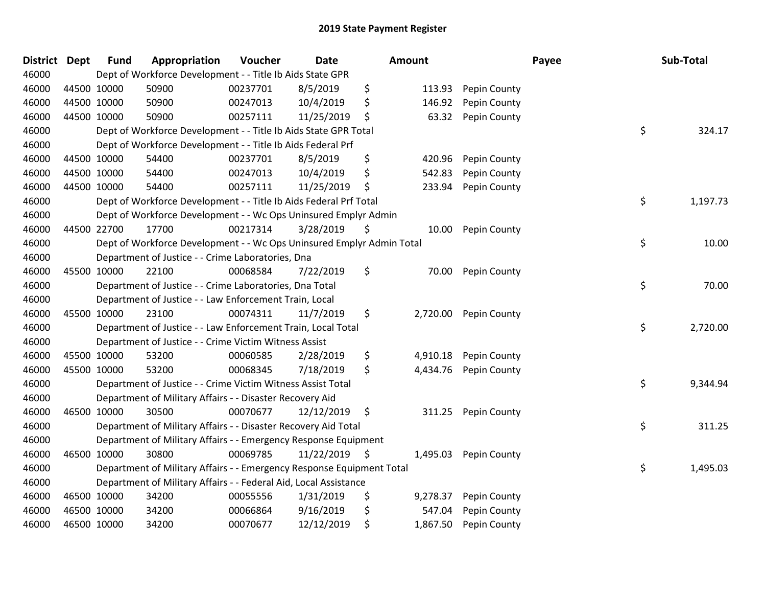| <b>District</b> | <b>Dept</b> | <b>Fund</b> | Appropriation                                                         | Voucher  | <b>Date</b>   | Amount |          |              | Payee | Sub-Total |
|-----------------|-------------|-------------|-----------------------------------------------------------------------|----------|---------------|--------|----------|--------------|-------|-----------|
| 46000           |             |             | Dept of Workforce Development - - Title Ib Aids State GPR             |          |               |        |          |              |       |           |
| 46000           | 44500 10000 |             | 50900                                                                 | 00237701 | 8/5/2019      | \$     | 113.93   | Pepin County |       |           |
| 46000           | 44500 10000 |             | 50900                                                                 | 00247013 | 10/4/2019     | \$     | 146.92   | Pepin County |       |           |
| 46000           | 44500 10000 |             | 50900                                                                 | 00257111 | 11/25/2019    | \$     | 63.32    | Pepin County |       |           |
| 46000           |             |             | Dept of Workforce Development - - Title Ib Aids State GPR Total       |          |               |        |          |              | \$    | 324.17    |
| 46000           |             |             | Dept of Workforce Development - - Title Ib Aids Federal Prf           |          |               |        |          |              |       |           |
| 46000           | 44500 10000 |             | 54400                                                                 | 00237701 | 8/5/2019      | \$     | 420.96   | Pepin County |       |           |
| 46000           | 44500 10000 |             | 54400                                                                 | 00247013 | 10/4/2019     | \$     | 542.83   | Pepin County |       |           |
| 46000           | 44500 10000 |             | 54400                                                                 | 00257111 | 11/25/2019    | \$     | 233.94   | Pepin County |       |           |
| 46000           |             |             | Dept of Workforce Development - - Title Ib Aids Federal Prf Total     |          |               |        |          |              | \$    | 1,197.73  |
| 46000           |             |             | Dept of Workforce Development - - Wc Ops Uninsured Emplyr Admin       |          |               |        |          |              |       |           |
| 46000           |             | 44500 22700 | 17700                                                                 | 00217314 | 3/28/2019     | \$     | 10.00    | Pepin County |       |           |
| 46000           |             |             | Dept of Workforce Development - - Wc Ops Uninsured Emplyr Admin Total |          |               |        |          |              | \$    | 10.00     |
| 46000           |             |             | Department of Justice - - Crime Laboratories, Dna                     |          |               |        |          |              |       |           |
| 46000           |             | 45500 10000 | 22100                                                                 | 00068584 | 7/22/2019     | \$     | 70.00    | Pepin County |       |           |
| 46000           |             |             | Department of Justice - - Crime Laboratories, Dna Total               |          |               |        |          |              | \$    | 70.00     |
| 46000           |             |             | Department of Justice - - Law Enforcement Train, Local                |          |               |        |          |              |       |           |
| 46000           | 45500 10000 |             | 23100                                                                 | 00074311 | 11/7/2019     | \$     | 2,720.00 | Pepin County |       |           |
| 46000           |             |             | Department of Justice - - Law Enforcement Train, Local Total          |          |               |        |          |              | \$    | 2,720.00  |
| 46000           |             |             | Department of Justice - - Crime Victim Witness Assist                 |          |               |        |          |              |       |           |
| 46000           | 45500 10000 |             | 53200                                                                 | 00060585 | 2/28/2019     | \$     | 4,910.18 | Pepin County |       |           |
| 46000           | 45500 10000 |             | 53200                                                                 | 00068345 | 7/18/2019     | \$     | 4,434.76 | Pepin County |       |           |
| 46000           |             |             | Department of Justice - - Crime Victim Witness Assist Total           |          |               |        |          |              | \$    | 9,344.94  |
| 46000           |             |             | Department of Military Affairs - - Disaster Recovery Aid              |          |               |        |          |              |       |           |
| 46000           |             | 46500 10000 | 30500                                                                 | 00070677 | 12/12/2019    | \$     | 311.25   | Pepin County |       |           |
| 46000           |             |             | Department of Military Affairs - - Disaster Recovery Aid Total        |          |               |        |          |              | \$    | 311.25    |
| 46000           |             |             | Department of Military Affairs - - Emergency Response Equipment       |          |               |        |          |              |       |           |
| 46000           | 46500 10000 |             | 30800                                                                 | 00069785 | 11/22/2019 \$ |        | 1,495.03 | Pepin County |       |           |
| 46000           |             |             | Department of Military Affairs - - Emergency Response Equipment Total |          |               |        |          |              | \$    | 1,495.03  |
| 46000           |             |             | Department of Military Affairs - - Federal Aid, Local Assistance      |          |               |        |          |              |       |           |
| 46000           |             | 46500 10000 | 34200                                                                 | 00055556 | 1/31/2019     | \$     | 9,278.37 | Pepin County |       |           |
| 46000           | 46500 10000 |             | 34200                                                                 | 00066864 | 9/16/2019     | \$     | 547.04   | Pepin County |       |           |
| 46000           | 46500 10000 |             | 34200                                                                 | 00070677 | 12/12/2019    | \$     | 1,867.50 | Pepin County |       |           |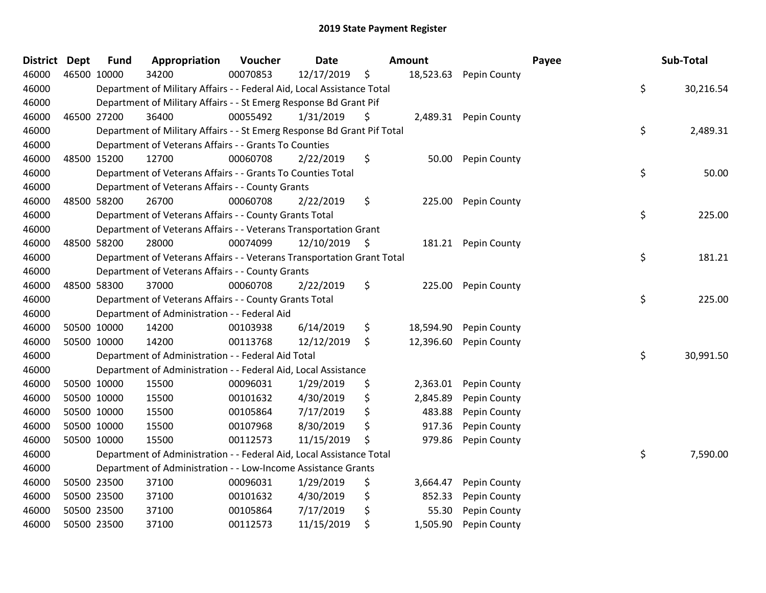| <b>District</b> | <b>Dept</b> | <b>Fund</b> | Appropriation                                                           | Voucher  | <b>Date</b>   | Amount          |              | Payee | Sub-Total |
|-----------------|-------------|-------------|-------------------------------------------------------------------------|----------|---------------|-----------------|--------------|-------|-----------|
| 46000           |             | 46500 10000 | 34200                                                                   | 00070853 | 12/17/2019    | \$<br>18,523.63 | Pepin County |       |           |
| 46000           |             |             | Department of Military Affairs - - Federal Aid, Local Assistance Total  |          |               |                 |              | \$    | 30,216.54 |
| 46000           |             |             | Department of Military Affairs - - St Emerg Response Bd Grant Pif       |          |               |                 |              |       |           |
| 46000           | 46500 27200 |             | 36400                                                                   | 00055492 | 1/31/2019     | \$<br>2,489.31  | Pepin County |       |           |
| 46000           |             |             | Department of Military Affairs - - St Emerg Response Bd Grant Pif Total |          |               |                 |              | \$    | 2,489.31  |
| 46000           |             |             | Department of Veterans Affairs - - Grants To Counties                   |          |               |                 |              |       |           |
| 46000           |             | 48500 15200 | 12700                                                                   | 00060708 | 2/22/2019     | \$<br>50.00     | Pepin County |       |           |
| 46000           |             |             | Department of Veterans Affairs - - Grants To Counties Total             |          |               |                 |              | \$    | 50.00     |
| 46000           |             |             | Department of Veterans Affairs - - County Grants                        |          |               |                 |              |       |           |
| 46000           | 48500 58200 |             | 26700                                                                   | 00060708 | 2/22/2019     | \$<br>225.00    | Pepin County |       |           |
| 46000           |             |             | Department of Veterans Affairs - - County Grants Total                  |          |               |                 |              | \$    | 225.00    |
| 46000           |             |             | Department of Veterans Affairs - - Veterans Transportation Grant        |          |               |                 |              |       |           |
| 46000           |             | 48500 58200 | 28000                                                                   | 00074099 | 12/10/2019 \$ | 181.21          | Pepin County |       |           |
| 46000           |             |             | Department of Veterans Affairs - - Veterans Transportation Grant Total  |          |               |                 |              | \$    | 181.21    |
| 46000           |             |             | Department of Veterans Affairs - - County Grants                        |          |               |                 |              |       |           |
| 46000           |             | 48500 58300 | 37000                                                                   | 00060708 | 2/22/2019     | \$<br>225.00    | Pepin County |       |           |
| 46000           |             |             | Department of Veterans Affairs - - County Grants Total                  |          |               |                 |              | \$    | 225.00    |
| 46000           |             |             | Department of Administration - - Federal Aid                            |          |               |                 |              |       |           |
| 46000           |             | 50500 10000 | 14200                                                                   | 00103938 | 6/14/2019     | \$<br>18,594.90 | Pepin County |       |           |
| 46000           |             | 50500 10000 | 14200                                                                   | 00113768 | 12/12/2019    | \$<br>12,396.60 | Pepin County |       |           |
| 46000           |             |             | Department of Administration - - Federal Aid Total                      |          |               |                 |              | \$    | 30,991.50 |
| 46000           |             |             | Department of Administration - - Federal Aid, Local Assistance          |          |               |                 |              |       |           |
| 46000           |             | 50500 10000 | 15500                                                                   | 00096031 | 1/29/2019     | \$<br>2,363.01  | Pepin County |       |           |
| 46000           | 50500 10000 |             | 15500                                                                   | 00101632 | 4/30/2019     | \$<br>2,845.89  | Pepin County |       |           |
| 46000           | 50500 10000 |             | 15500                                                                   | 00105864 | 7/17/2019     | \$<br>483.88    | Pepin County |       |           |
| 46000           |             | 50500 10000 | 15500                                                                   | 00107968 | 8/30/2019     | \$<br>917.36    | Pepin County |       |           |
| 46000           |             | 50500 10000 | 15500                                                                   | 00112573 | 11/15/2019    | \$<br>979.86    | Pepin County |       |           |
| 46000           |             |             | Department of Administration - - Federal Aid, Local Assistance Total    |          |               |                 |              | \$    | 7,590.00  |
| 46000           |             |             | Department of Administration - - Low-Income Assistance Grants           |          |               |                 |              |       |           |
| 46000           | 50500 23500 |             | 37100                                                                   | 00096031 | 1/29/2019     | \$<br>3,664.47  | Pepin County |       |           |
| 46000           |             | 50500 23500 | 37100                                                                   | 00101632 | 4/30/2019     | \$<br>852.33    | Pepin County |       |           |
| 46000           |             | 50500 23500 | 37100                                                                   | 00105864 | 7/17/2019     | \$<br>55.30     | Pepin County |       |           |
| 46000           |             | 50500 23500 | 37100                                                                   | 00112573 | 11/15/2019    | \$<br>1,505.90  | Pepin County |       |           |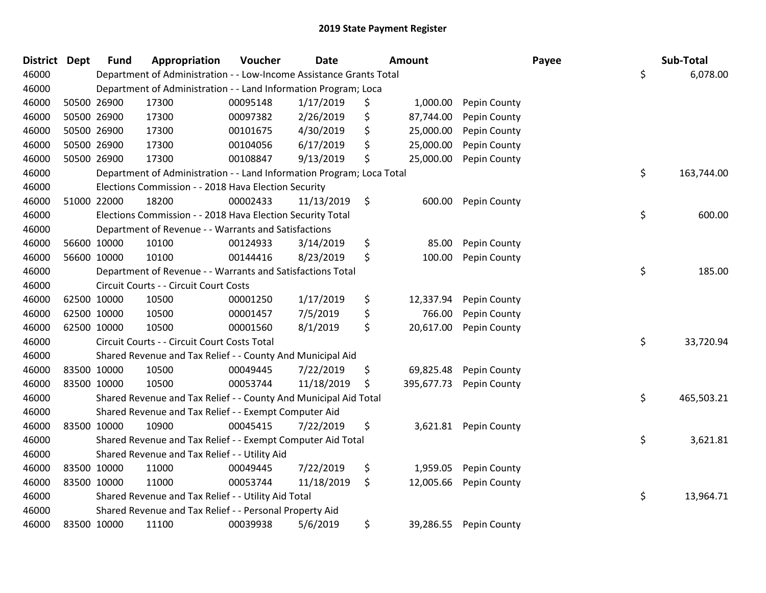| <b>District</b> | Dept        | <b>Fund</b> | Appropriation                                                         | Voucher  | <b>Date</b> |    | <b>Amount</b> |                     | Payee | Sub-Total  |
|-----------------|-------------|-------------|-----------------------------------------------------------------------|----------|-------------|----|---------------|---------------------|-------|------------|
| 46000           |             |             | Department of Administration - - Low-Income Assistance Grants Total   |          |             |    |               |                     | \$    | 6,078.00   |
| 46000           |             |             | Department of Administration - - Land Information Program; Loca       |          |             |    |               |                     |       |            |
| 46000           |             | 50500 26900 | 17300                                                                 | 00095148 | 1/17/2019   | \$ | 1,000.00      | Pepin County        |       |            |
| 46000           |             | 50500 26900 | 17300                                                                 | 00097382 | 2/26/2019   | \$ | 87,744.00     | Pepin County        |       |            |
| 46000           |             | 50500 26900 | 17300                                                                 | 00101675 | 4/30/2019   | \$ | 25,000.00     | Pepin County        |       |            |
| 46000           |             | 50500 26900 | 17300                                                                 | 00104056 | 6/17/2019   | \$ | 25,000.00     | Pepin County        |       |            |
| 46000           |             | 50500 26900 | 17300                                                                 | 00108847 | 9/13/2019   | \$ | 25,000.00     | Pepin County        |       |            |
| 46000           |             |             | Department of Administration - - Land Information Program; Loca Total |          |             |    |               |                     | \$    | 163,744.00 |
| 46000           |             |             | Elections Commission - - 2018 Hava Election Security                  |          |             |    |               |                     |       |            |
| 46000           |             | 51000 22000 | 18200                                                                 | 00002433 | 11/13/2019  | \$ | 600.00        | Pepin County        |       |            |
| 46000           |             |             | Elections Commission - - 2018 Hava Election Security Total            |          |             |    |               |                     | \$    | 600.00     |
| 46000           |             |             | Department of Revenue - - Warrants and Satisfactions                  |          |             |    |               |                     |       |            |
| 46000           |             | 56600 10000 | 10100                                                                 | 00124933 | 3/14/2019   | \$ | 85.00         | Pepin County        |       |            |
| 46000           |             | 56600 10000 | 10100                                                                 | 00144416 | 8/23/2019   | \$ | 100.00        | Pepin County        |       |            |
| 46000           |             |             | Department of Revenue - - Warrants and Satisfactions Total            |          |             |    |               |                     | \$    | 185.00     |
| 46000           |             |             | Circuit Courts - - Circuit Court Costs                                |          |             |    |               |                     |       |            |
| 46000           | 62500 10000 |             | 10500                                                                 | 00001250 | 1/17/2019   | \$ | 12,337.94     | <b>Pepin County</b> |       |            |
| 46000           | 62500 10000 |             | 10500                                                                 | 00001457 | 7/5/2019    | \$ | 766.00        | Pepin County        |       |            |
| 46000           | 62500 10000 |             | 10500                                                                 | 00001560 | 8/1/2019    | \$ | 20,617.00     | Pepin County        |       |            |
| 46000           |             |             | Circuit Courts - - Circuit Court Costs Total                          |          |             |    |               |                     | \$    | 33,720.94  |
| 46000           |             |             | Shared Revenue and Tax Relief - - County And Municipal Aid            |          |             |    |               |                     |       |            |
| 46000           |             | 83500 10000 | 10500                                                                 | 00049445 | 7/22/2019   | \$ | 69,825.48     | Pepin County        |       |            |
| 46000           | 83500 10000 |             | 10500                                                                 | 00053744 | 11/18/2019  | Ş  | 395,677.73    | Pepin County        |       |            |
| 46000           |             |             | Shared Revenue and Tax Relief - - County And Municipal Aid Total      |          |             |    |               |                     | \$    | 465,503.21 |
| 46000           |             |             | Shared Revenue and Tax Relief - - Exempt Computer Aid                 |          |             |    |               |                     |       |            |
| 46000           | 83500 10000 |             | 10900                                                                 | 00045415 | 7/22/2019   | \$ | 3,621.81      | Pepin County        |       |            |
| 46000           |             |             | Shared Revenue and Tax Relief - - Exempt Computer Aid Total           |          |             |    |               |                     | \$    | 3,621.81   |
| 46000           |             |             | Shared Revenue and Tax Relief - - Utility Aid                         |          |             |    |               |                     |       |            |
| 46000           | 83500 10000 |             | 11000                                                                 | 00049445 | 7/22/2019   | \$ | 1,959.05      | Pepin County        |       |            |
| 46000           | 83500 10000 |             | 11000                                                                 | 00053744 | 11/18/2019  | \$ | 12,005.66     | Pepin County        |       |            |
| 46000           |             |             | Shared Revenue and Tax Relief - - Utility Aid Total                   |          |             |    |               |                     | \$    | 13,964.71  |
| 46000           |             |             | Shared Revenue and Tax Relief - - Personal Property Aid               |          |             |    |               |                     |       |            |
| 46000           | 83500 10000 |             | 11100                                                                 | 00039938 | 5/6/2019    | \$ | 39,286.55     | Pepin County        |       |            |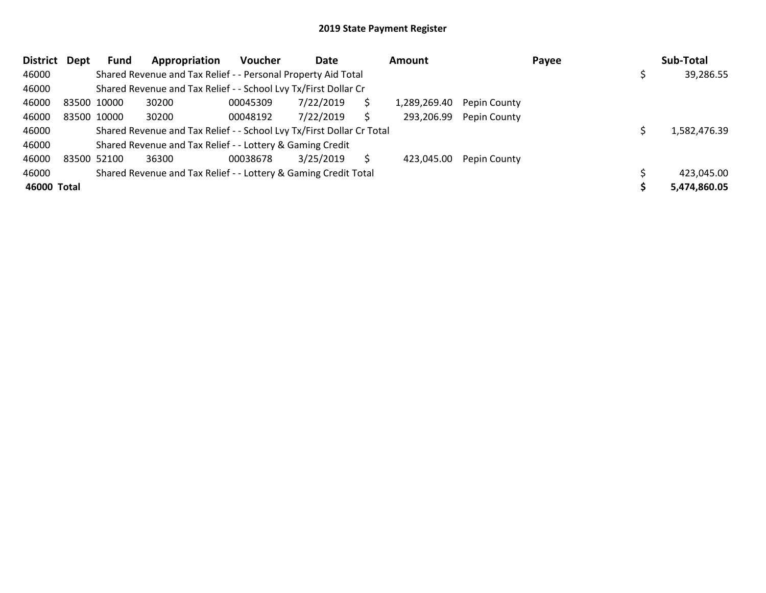| <b>District</b> | Dept        | Fund        | Appropriation                                                         | <b>Voucher</b> | Date      |    | Amount       |              | Payee | Sub-Total    |
|-----------------|-------------|-------------|-----------------------------------------------------------------------|----------------|-----------|----|--------------|--------------|-------|--------------|
| 46000           |             |             | Shared Revenue and Tax Relief - - Personal Property Aid Total         |                |           |    |              |              |       | 39,286.55    |
| 46000           |             |             | Shared Revenue and Tax Relief - - School Lvy Tx/First Dollar Cr       |                |           |    |              |              |       |              |
| 46000           | 83500 10000 |             | 30200                                                                 | 00045309       | 7/22/2019 | \$ | 1,289,269.40 | Pepin County |       |              |
| 46000           |             | 83500 10000 | 30200                                                                 | 00048192       | 7/22/2019 | S  | 293,206.99   | Pepin County |       |              |
| 46000           |             |             | Shared Revenue and Tax Relief - - School Lvy Tx/First Dollar Cr Total |                |           |    |              |              |       | 1,582,476.39 |
| 46000           |             |             | Shared Revenue and Tax Relief - - Lottery & Gaming Credit             |                |           |    |              |              |       |              |
| 46000           | 83500 52100 |             | 36300                                                                 | 00038678       | 3/25/2019 | S  | 423,045.00   | Pepin County |       |              |
| 46000           |             |             | Shared Revenue and Tax Relief - - Lottery & Gaming Credit Total       |                |           |    |              |              |       | 423,045.00   |
| 46000 Total     |             |             |                                                                       |                |           |    |              |              |       | 5,474,860.05 |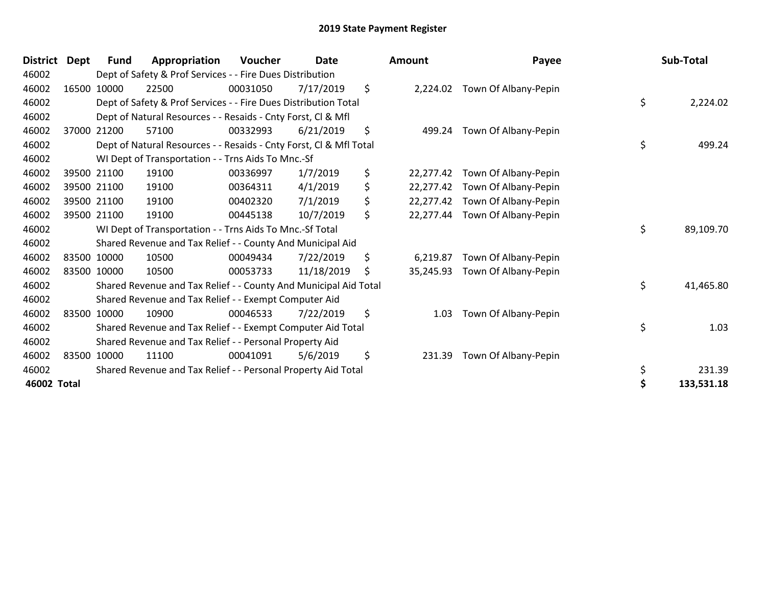| <b>District</b> | Dept | Fund        | Appropriation                                                      | Voucher  | <b>Date</b> | <b>Amount</b>   | Payee                | Sub-Total       |
|-----------------|------|-------------|--------------------------------------------------------------------|----------|-------------|-----------------|----------------------|-----------------|
| 46002           |      |             | Dept of Safety & Prof Services - - Fire Dues Distribution          |          |             |                 |                      |                 |
| 46002           |      | 16500 10000 | 22500                                                              | 00031050 | 7/17/2019   | \$<br>2,224.02  | Town Of Albany-Pepin |                 |
| 46002           |      |             | Dept of Safety & Prof Services - - Fire Dues Distribution Total    |          |             |                 |                      | \$<br>2,224.02  |
| 46002           |      |             | Dept of Natural Resources - - Resaids - Cnty Forst, Cl & Mfl       |          |             |                 |                      |                 |
| 46002           |      | 37000 21200 | 57100                                                              | 00332993 | 6/21/2019   | \$<br>499.24    | Town Of Albany-Pepin |                 |
| 46002           |      |             | Dept of Natural Resources - - Resaids - Cnty Forst, Cl & Mfl Total |          |             |                 |                      | \$<br>499.24    |
| 46002           |      |             | WI Dept of Transportation - - Trns Aids To Mnc.-Sf                 |          |             |                 |                      |                 |
| 46002           |      | 39500 21100 | 19100                                                              | 00336997 | 1/7/2019    | \$<br>22,277.42 | Town Of Albany-Pepin |                 |
| 46002           |      | 39500 21100 | 19100                                                              | 00364311 | 4/1/2019    | \$<br>22,277.42 | Town Of Albany-Pepin |                 |
| 46002           |      | 39500 21100 | 19100                                                              | 00402320 | 7/1/2019    | \$<br>22,277.42 | Town Of Albany-Pepin |                 |
| 46002           |      | 39500 21100 | 19100                                                              | 00445138 | 10/7/2019   | \$<br>22,277.44 | Town Of Albany-Pepin |                 |
| 46002           |      |             | WI Dept of Transportation - - Trns Aids To Mnc.-Sf Total           |          |             |                 |                      | \$<br>89,109.70 |
| 46002           |      |             | Shared Revenue and Tax Relief - - County And Municipal Aid         |          |             |                 |                      |                 |
| 46002           |      | 83500 10000 | 10500                                                              | 00049434 | 7/22/2019   | \$<br>6,219.87  | Town Of Albany-Pepin |                 |
| 46002           |      | 83500 10000 | 10500                                                              | 00053733 | 11/18/2019  | \$<br>35,245.93 | Town Of Albany-Pepin |                 |
| 46002           |      |             | Shared Revenue and Tax Relief - - County And Municipal Aid Total   |          |             |                 |                      | \$<br>41,465.80 |
| 46002           |      |             | Shared Revenue and Tax Relief - - Exempt Computer Aid              |          |             |                 |                      |                 |
| 46002           |      | 83500 10000 | 10900                                                              | 00046533 | 7/22/2019   | \$<br>1.03      | Town Of Albany-Pepin |                 |
| 46002           |      |             | Shared Revenue and Tax Relief - - Exempt Computer Aid Total        |          |             |                 |                      | \$<br>1.03      |
| 46002           |      |             | Shared Revenue and Tax Relief - - Personal Property Aid            |          |             |                 |                      |                 |
| 46002           |      | 83500 10000 | 11100                                                              | 00041091 | 5/6/2019    | \$<br>231.39    | Town Of Albany-Pepin |                 |
| 46002           |      |             | Shared Revenue and Tax Relief - - Personal Property Aid Total      |          |             |                 |                      | \$<br>231.39    |
| 46002 Total     |      |             |                                                                    |          |             |                 |                      | 133,531.18      |

| District Dept | Fund        | Appropriation                                                      | <b>Voucher</b> | Date       | <b>Amount</b>   | Payee                       | Sub-Total       |
|---------------|-------------|--------------------------------------------------------------------|----------------|------------|-----------------|-----------------------------|-----------------|
| 46002         |             | Dept of Safety & Prof Services - - Fire Dues Distribution          |                |            |                 |                             |                 |
| 46002         | 16500 10000 | 22500                                                              | 00031050       | 7/17/2019  | \$<br>2,224.02  | Town Of Albany-Pepin        |                 |
| 46002         |             | Dept of Safety & Prof Services - - Fire Dues Distribution Total    |                |            |                 |                             | \$<br>2,224.02  |
| 46002         |             | Dept of Natural Resources - - Resaids - Cnty Forst, CI & Mfl       |                |            |                 |                             |                 |
| 46002         | 37000 21200 | 57100                                                              | 00332993       | 6/21/2019  | \$              | 499.24 Town Of Albany-Pepin |                 |
| 46002         |             | Dept of Natural Resources - - Resaids - Cnty Forst, Cl & Mfl Total |                |            |                 |                             | \$<br>499.24    |
| 46002         |             | WI Dept of Transportation - - Trns Aids To Mnc.-Sf                 |                |            |                 |                             |                 |
| 46002         | 39500 21100 | 19100                                                              | 00336997       | 1/7/2019   | \$<br>22,277.42 | Town Of Albany-Pepin        |                 |
| 46002         | 39500 21100 | 19100                                                              | 00364311       | 4/1/2019   | \$<br>22,277.42 | Town Of Albany-Pepin        |                 |
| 46002         | 39500 21100 | 19100                                                              | 00402320       | 7/1/2019   | \$<br>22,277.42 | Town Of Albany-Pepin        |                 |
| 46002         | 39500 21100 | 19100                                                              | 00445138       | 10/7/2019  | \$<br>22,277.44 | Town Of Albany-Pepin        |                 |
| 46002         |             | WI Dept of Transportation - - Trns Aids To Mnc.-Sf Total           |                |            |                 |                             | \$<br>89,109.70 |
| 46002         |             | Shared Revenue and Tax Relief - - County And Municipal Aid         |                |            |                 |                             |                 |
| 46002         | 83500 10000 | 10500                                                              | 00049434       | 7/22/2019  | \$<br>6,219.87  | Town Of Albany-Pepin        |                 |
| 46002         | 83500 10000 | 10500                                                              | 00053733       | 11/18/2019 | \$<br>35,245.93 | Town Of Albany-Pepin        |                 |
| 46002         |             | Shared Revenue and Tax Relief - - County And Municipal Aid Total   |                |            |                 |                             | \$<br>41,465.80 |
| 46002         |             | Shared Revenue and Tax Relief - - Exempt Computer Aid              |                |            |                 |                             |                 |
| 46002         | 83500 10000 | 10900                                                              | 00046533       | 7/22/2019  | \$<br>1.03      | Town Of Albany-Pepin        |                 |
| 46002         |             | Shared Revenue and Tax Relief - - Exempt Computer Aid Total        |                |            |                 |                             | \$<br>1.03      |
| 46002         |             | Shared Revenue and Tax Relief - - Personal Property Aid            |                |            |                 |                             |                 |
| 46002         | 83500 10000 | 11100                                                              | 00041091       | 5/6/2019   | \$<br>231.39    | Town Of Albany-Pepin        |                 |
| 46002         |             | Shared Revenue and Tax Relief - - Personal Property Aid Total      |                |            |                 |                             | \$<br>231.39    |
| 46002 Total   |             |                                                                    |                |            |                 |                             | 133,531.18      |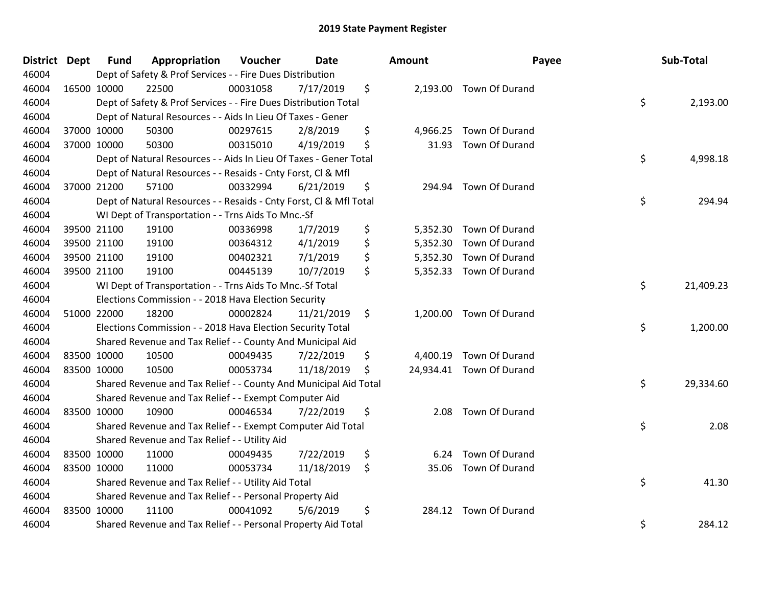| District Dept | <b>Fund</b> | Appropriation                                                      | Voucher  | <b>Date</b> |         | <b>Amount</b> | Payee                    | Sub-Total       |
|---------------|-------------|--------------------------------------------------------------------|----------|-------------|---------|---------------|--------------------------|-----------------|
| 46004         |             | Dept of Safety & Prof Services - - Fire Dues Distribution          |          |             |         |               |                          |                 |
| 46004         | 16500 10000 | 22500                                                              | 00031058 | 7/17/2019   | \$      |               | 2,193.00 Town Of Durand  |                 |
| 46004         |             | Dept of Safety & Prof Services - - Fire Dues Distribution Total    |          |             |         |               |                          | \$<br>2,193.00  |
| 46004         |             | Dept of Natural Resources - - Aids In Lieu Of Taxes - Gener        |          |             |         |               |                          |                 |
| 46004         | 37000 10000 | 50300                                                              | 00297615 | 2/8/2019    | \$      |               | 4,966.25 Town Of Durand  |                 |
| 46004         | 37000 10000 | 50300                                                              | 00315010 | 4/19/2019   | \$      |               | 31.93 Town Of Durand     |                 |
| 46004         |             | Dept of Natural Resources - - Aids In Lieu Of Taxes - Gener Total  |          |             |         |               |                          | \$<br>4,998.18  |
| 46004         |             | Dept of Natural Resources - - Resaids - Cnty Forst, Cl & Mfl       |          |             |         |               |                          |                 |
| 46004         | 37000 21200 | 57100                                                              | 00332994 | 6/21/2019   | \$      | 294.94        | Town Of Durand           |                 |
| 46004         |             | Dept of Natural Resources - - Resaids - Cnty Forst, CI & Mfl Total |          |             |         |               |                          | \$<br>294.94    |
| 46004         |             | WI Dept of Transportation - - Trns Aids To Mnc.-Sf                 |          |             |         |               |                          |                 |
| 46004         | 39500 21100 | 19100                                                              | 00336998 | 1/7/2019    | \$      |               | 5,352.30 Town Of Durand  |                 |
| 46004         | 39500 21100 | 19100                                                              | 00364312 | 4/1/2019    | \$      |               | 5,352.30 Town Of Durand  |                 |
| 46004         | 39500 21100 | 19100                                                              | 00402321 | 7/1/2019    | \$      |               | 5,352.30 Town Of Durand  |                 |
| 46004         | 39500 21100 | 19100                                                              | 00445139 | 10/7/2019   | \$      |               | 5,352.33 Town Of Durand  |                 |
| 46004         |             | WI Dept of Transportation - - Trns Aids To Mnc.-Sf Total           |          |             |         |               |                          | \$<br>21,409.23 |
| 46004         |             | Elections Commission - - 2018 Hava Election Security               |          |             |         |               |                          |                 |
| 46004         | 51000 22000 | 18200                                                              | 00002824 | 11/21/2019  | \$      |               | 1,200.00 Town Of Durand  |                 |
| 46004         |             | Elections Commission - - 2018 Hava Election Security Total         |          |             |         |               |                          | \$<br>1,200.00  |
| 46004         |             | Shared Revenue and Tax Relief - - County And Municipal Aid         |          |             |         |               |                          |                 |
| 46004         | 83500 10000 | 10500                                                              | 00049435 | 7/22/2019   | \$      |               | 4,400.19 Town Of Durand  |                 |
| 46004         | 83500 10000 | 10500                                                              | 00053734 | 11/18/2019  | \$      |               | 24,934.41 Town Of Durand |                 |
| 46004         |             | Shared Revenue and Tax Relief - - County And Municipal Aid Total   |          |             |         |               |                          | \$<br>29,334.60 |
| 46004         |             | Shared Revenue and Tax Relief - - Exempt Computer Aid              |          |             |         |               |                          |                 |
| 46004         | 83500 10000 | 10900                                                              | 00046534 | 7/22/2019   | \$      |               | 2.08 Town Of Durand      |                 |
| 46004         |             | Shared Revenue and Tax Relief - - Exempt Computer Aid Total        |          |             |         |               |                          | \$<br>2.08      |
| 46004         |             | Shared Revenue and Tax Relief - - Utility Aid                      |          |             |         |               |                          |                 |
| 46004         | 83500 10000 | 11000                                                              | 00049435 | 7/22/2019   | \$      | 6.24          | Town Of Durand           |                 |
| 46004         | 83500 10000 | 11000                                                              | 00053734 | 11/18/2019  | $\zeta$ |               | 35.06 Town Of Durand     |                 |
| 46004         |             | Shared Revenue and Tax Relief - - Utility Aid Total                |          |             |         |               |                          | \$<br>41.30     |
| 46004         |             | Shared Revenue and Tax Relief - - Personal Property Aid            |          |             |         |               |                          |                 |
| 46004         | 83500 10000 | 11100                                                              | 00041092 | 5/6/2019    | \$      |               | 284.12 Town Of Durand    |                 |
| 46004         |             | Shared Revenue and Tax Relief - - Personal Property Aid Total      |          |             |         |               |                          | \$<br>284.12    |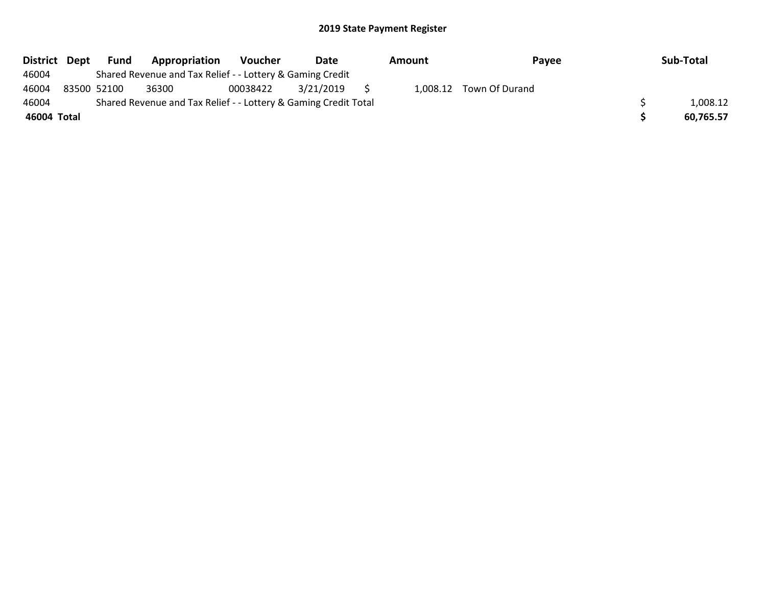| District Dept |             | Fund | Appropriation                                                   | <b>Voucher</b> | Date      | Amount | Payee                   | Sub-Total |
|---------------|-------------|------|-----------------------------------------------------------------|----------------|-----------|--------|-------------------------|-----------|
| 46004         |             |      | Shared Revenue and Tax Relief - - Lottery & Gaming Credit       |                |           |        |                         |           |
| 46004         | 83500 52100 |      | 36300                                                           | 00038422       | 3/21/2019 |        | 1,008.12 Town Of Durand |           |
| 46004         |             |      | Shared Revenue and Tax Relief - - Lottery & Gaming Credit Total |                |           |        |                         | 1,008.12  |
| 46004 Total   |             |      |                                                                 |                |           |        |                         | 60,765.57 |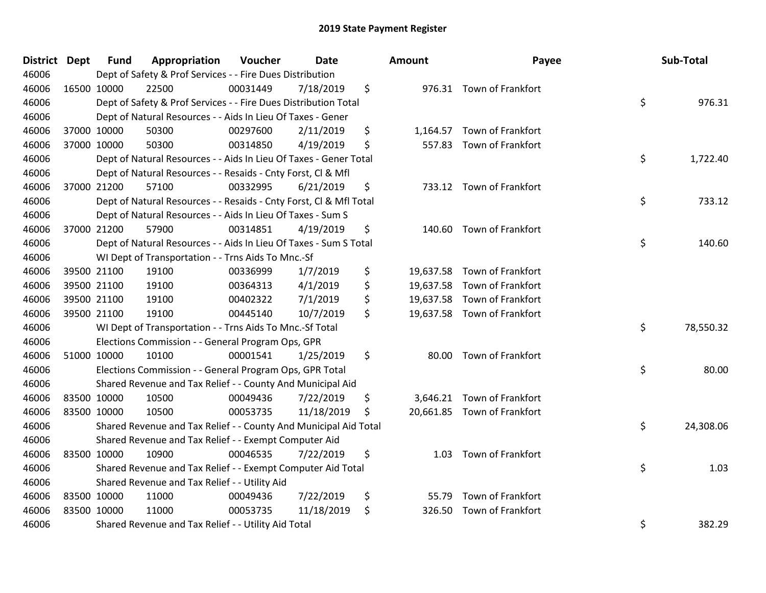| District Dept |             | Fund        | Appropriation                                                      | Voucher  | <b>Date</b> | <b>Amount</b> | Payee                       | Sub-Total       |
|---------------|-------------|-------------|--------------------------------------------------------------------|----------|-------------|---------------|-----------------------------|-----------------|
| 46006         |             |             | Dept of Safety & Prof Services - - Fire Dues Distribution          |          |             |               |                             |                 |
| 46006         |             | 16500 10000 | 22500                                                              | 00031449 | 7/18/2019   | \$            | 976.31 Town of Frankfort    |                 |
| 46006         |             |             | Dept of Safety & Prof Services - - Fire Dues Distribution Total    |          |             |               |                             | \$<br>976.31    |
| 46006         |             |             | Dept of Natural Resources - - Aids In Lieu Of Taxes - Gener        |          |             |               |                             |                 |
| 46006         |             | 37000 10000 | 50300                                                              | 00297600 | 2/11/2019   | \$            | 1,164.57 Town of Frankfort  |                 |
| 46006         |             | 37000 10000 | 50300                                                              | 00314850 | 4/19/2019   | \$            | 557.83 Town of Frankfort    |                 |
| 46006         |             |             | Dept of Natural Resources - - Aids In Lieu Of Taxes - Gener Total  |          |             |               |                             | \$<br>1,722.40  |
| 46006         |             |             | Dept of Natural Resources - - Resaids - Cnty Forst, Cl & Mfl       |          |             |               |                             |                 |
| 46006         |             | 37000 21200 | 57100                                                              | 00332995 | 6/21/2019   | \$            | 733.12 Town of Frankfort    |                 |
| 46006         |             |             | Dept of Natural Resources - - Resaids - Cnty Forst, CI & Mfl Total |          |             |               |                             | \$<br>733.12    |
| 46006         |             |             | Dept of Natural Resources - - Aids In Lieu Of Taxes - Sum S        |          |             |               |                             |                 |
| 46006         |             | 37000 21200 | 57900                                                              | 00314851 | 4/19/2019   | \$            | 140.60 Town of Frankfort    |                 |
| 46006         |             |             | Dept of Natural Resources - - Aids In Lieu Of Taxes - Sum S Total  |          |             |               |                             | \$<br>140.60    |
| 46006         |             |             | WI Dept of Transportation - - Trns Aids To Mnc.-Sf                 |          |             |               |                             |                 |
| 46006         |             | 39500 21100 | 19100                                                              | 00336999 | 1/7/2019    | \$            | 19,637.58 Town of Frankfort |                 |
| 46006         |             | 39500 21100 | 19100                                                              | 00364313 | 4/1/2019    | \$            | 19,637.58 Town of Frankfort |                 |
| 46006         |             | 39500 21100 | 19100                                                              | 00402322 | 7/1/2019    | \$            | 19,637.58 Town of Frankfort |                 |
| 46006         |             | 39500 21100 | 19100                                                              | 00445140 | 10/7/2019   | \$            | 19,637.58 Town of Frankfort |                 |
| 46006         |             |             | WI Dept of Transportation - - Trns Aids To Mnc.-Sf Total           |          |             |               |                             | \$<br>78,550.32 |
| 46006         |             |             | Elections Commission - - General Program Ops, GPR                  |          |             |               |                             |                 |
| 46006         |             | 51000 10000 | 10100                                                              | 00001541 | 1/25/2019   | \$            | 80.00 Town of Frankfort     |                 |
| 46006         |             |             | Elections Commission - - General Program Ops, GPR Total            |          |             |               |                             | \$<br>80.00     |
| 46006         |             |             | Shared Revenue and Tax Relief - - County And Municipal Aid         |          |             |               |                             |                 |
| 46006         | 83500 10000 |             | 10500                                                              | 00049436 | 7/22/2019   | \$            | 3,646.21 Town of Frankfort  |                 |
| 46006         |             | 83500 10000 | 10500                                                              | 00053735 | 11/18/2019  | \$            | 20,661.85 Town of Frankfort |                 |
| 46006         |             |             | Shared Revenue and Tax Relief - - County And Municipal Aid Total   |          |             |               |                             | \$<br>24,308.06 |
| 46006         |             |             | Shared Revenue and Tax Relief - - Exempt Computer Aid              |          |             |               |                             |                 |
| 46006         |             | 83500 10000 | 10900                                                              | 00046535 | 7/22/2019   | \$            | 1.03 Town of Frankfort      |                 |
| 46006         |             |             | Shared Revenue and Tax Relief - - Exempt Computer Aid Total        |          |             |               |                             | \$<br>1.03      |
| 46006         |             |             | Shared Revenue and Tax Relief - - Utility Aid                      |          |             |               |                             |                 |
| 46006         |             | 83500 10000 | 11000                                                              | 00049436 | 7/22/2019   | \$<br>55.79   | Town of Frankfort           |                 |
| 46006         |             | 83500 10000 | 11000                                                              | 00053735 | 11/18/2019  | \$            | 326.50 Town of Frankfort    |                 |
| 46006         |             |             | Shared Revenue and Tax Relief - - Utility Aid Total                |          |             |               |                             | \$<br>382.29    |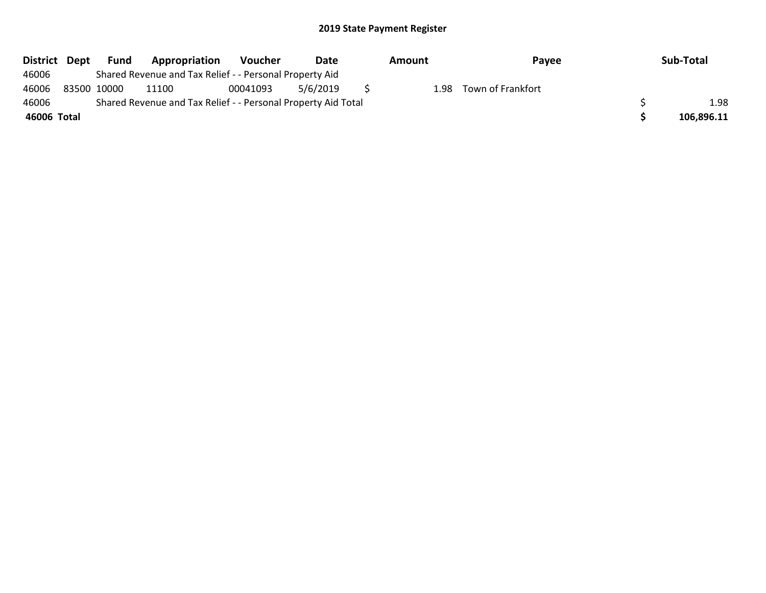| District Dept | Fund        | Appropriation                                                 | <b>Voucher</b> | Date     | Amount | Payee             | Sub-Total  |
|---------------|-------------|---------------------------------------------------------------|----------------|----------|--------|-------------------|------------|
| 46006         |             | Shared Revenue and Tax Relief - - Personal Property Aid       |                |          |        |                   |            |
| 46006         | 83500 10000 | 11100                                                         | 00041093       | 5/6/2019 | 1.98   | Town of Frankfort |            |
| 46006         |             | Shared Revenue and Tax Relief - - Personal Property Aid Total |                |          |        |                   | 1.98       |
| 46006 Total   |             |                                                               |                |          |        |                   | 106,896.11 |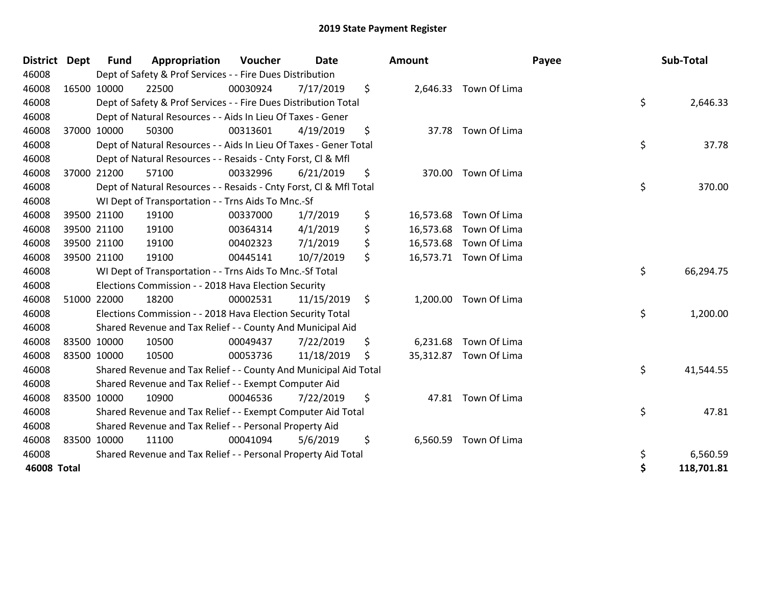| <b>District</b>    | <b>Dept</b> | <b>Fund</b> | Appropriation                                                      | <b>Voucher</b> | <b>Date</b> |    | <b>Amount</b> |                        | Payee | Sub-Total  |
|--------------------|-------------|-------------|--------------------------------------------------------------------|----------------|-------------|----|---------------|------------------------|-------|------------|
| 46008              |             |             | Dept of Safety & Prof Services - - Fire Dues Distribution          |                |             |    |               |                        |       |            |
| 46008              |             | 16500 10000 | 22500                                                              | 00030924       | 7/17/2019   | \$ |               | 2,646.33 Town Of Lima  |       |            |
| 46008              |             |             | Dept of Safety & Prof Services - - Fire Dues Distribution Total    |                |             |    |               |                        | \$    | 2,646.33   |
| 46008              |             |             | Dept of Natural Resources - - Aids In Lieu Of Taxes - Gener        |                |             |    |               |                        |       |            |
| 46008              |             | 37000 10000 | 50300                                                              | 00313601       | 4/19/2019   | \$ |               | 37.78 Town Of Lima     |       |            |
| 46008              |             |             | Dept of Natural Resources - - Aids In Lieu Of Taxes - Gener Total  |                |             |    |               |                        | \$    | 37.78      |
| 46008              |             |             | Dept of Natural Resources - - Resaids - Cnty Forst, CI & Mfl       |                |             |    |               |                        |       |            |
| 46008              | 37000 21200 |             | 57100                                                              | 00332996       | 6/21/2019   | \$ |               | 370.00 Town Of Lima    |       |            |
| 46008              |             |             | Dept of Natural Resources - - Resaids - Cnty Forst, CI & Mfl Total |                |             |    |               |                        | \$    | 370.00     |
| 46008              |             |             | WI Dept of Transportation - - Trns Aids To Mnc.-Sf                 |                |             |    |               |                        |       |            |
| 46008              |             | 39500 21100 | 19100                                                              | 00337000       | 1/7/2019    | \$ | 16,573.68     | Town Of Lima           |       |            |
| 46008              |             | 39500 21100 | 19100                                                              | 00364314       | 4/1/2019    | \$ |               | 16,573.68 Town Of Lima |       |            |
| 46008              |             | 39500 21100 | 19100                                                              | 00402323       | 7/1/2019    | \$ |               | 16,573.68 Town Of Lima |       |            |
| 46008              | 39500 21100 |             | 19100                                                              | 00445141       | 10/7/2019   | \$ |               | 16,573.71 Town Of Lima |       |            |
| 46008              |             |             | WI Dept of Transportation - - Trns Aids To Mnc.-Sf Total           |                |             |    |               |                        | \$    | 66,294.75  |
| 46008              |             |             | Elections Commission - - 2018 Hava Election Security               |                |             |    |               |                        |       |            |
| 46008              |             | 51000 22000 | 18200                                                              | 00002531       | 11/15/2019  | \$ |               | 1,200.00 Town Of Lima  |       |            |
| 46008              |             |             | Elections Commission - - 2018 Hava Election Security Total         |                |             |    |               |                        | \$    | 1,200.00   |
| 46008              |             |             | Shared Revenue and Tax Relief - - County And Municipal Aid         |                |             |    |               |                        |       |            |
| 46008              | 83500 10000 |             | 10500                                                              | 00049437       | 7/22/2019   | \$ |               | 6,231.68 Town Of Lima  |       |            |
| 46008              | 83500 10000 |             | 10500                                                              | 00053736       | 11/18/2019  | S  |               | 35,312.87 Town Of Lima |       |            |
| 46008              |             |             | Shared Revenue and Tax Relief - - County And Municipal Aid Total   |                |             |    |               |                        | \$    | 41,544.55  |
| 46008              |             |             | Shared Revenue and Tax Relief - - Exempt Computer Aid              |                |             |    |               |                        |       |            |
| 46008              | 83500 10000 |             | 10900                                                              | 00046536       | 7/22/2019   | \$ |               | 47.81 Town Of Lima     |       |            |
| 46008              |             |             | Shared Revenue and Tax Relief - - Exempt Computer Aid Total        |                |             |    |               |                        | \$    | 47.81      |
| 46008              |             |             | Shared Revenue and Tax Relief - - Personal Property Aid            |                |             |    |               |                        |       |            |
| 46008              | 83500 10000 |             | 11100                                                              | 00041094       | 5/6/2019    | \$ | 6,560.59      | Town Of Lima           |       |            |
| 46008              |             |             | Shared Revenue and Tax Relief - - Personal Property Aid Total      |                |             |    |               |                        | \$    | 6,560.59   |
| <b>46008 Total</b> |             |             |                                                                    |                |             |    |               |                        | \$    | 118,701.81 |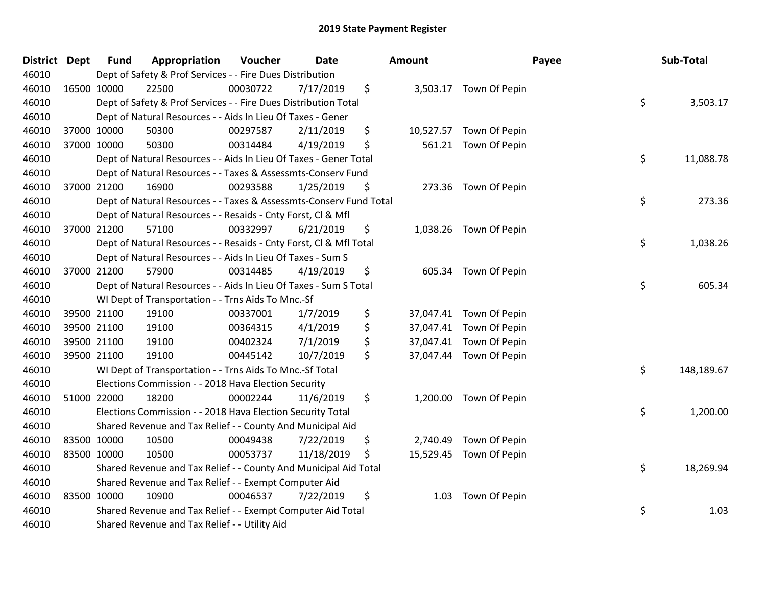| District Dept |             | <b>Fund</b> | Appropriation                                                      | Voucher  | <b>Date</b> | <b>Amount</b> |                         | Payee | Sub-Total  |
|---------------|-------------|-------------|--------------------------------------------------------------------|----------|-------------|---------------|-------------------------|-------|------------|
| 46010         |             |             | Dept of Safety & Prof Services - - Fire Dues Distribution          |          |             |               |                         |       |            |
| 46010         |             | 16500 10000 | 22500                                                              | 00030722 | 7/17/2019   | \$            | 3,503.17 Town Of Pepin  |       |            |
| 46010         |             |             | Dept of Safety & Prof Services - - Fire Dues Distribution Total    |          |             |               |                         | \$    | 3,503.17   |
| 46010         |             |             | Dept of Natural Resources - - Aids In Lieu Of Taxes - Gener        |          |             |               |                         |       |            |
| 46010         |             | 37000 10000 | 50300                                                              | 00297587 | 2/11/2019   | \$            | 10,527.57 Town Of Pepin |       |            |
| 46010         |             | 37000 10000 | 50300                                                              | 00314484 | 4/19/2019   | \$            | 561.21 Town Of Pepin    |       |            |
| 46010         |             |             | Dept of Natural Resources - - Aids In Lieu Of Taxes - Gener Total  |          |             |               |                         | \$    | 11,088.78  |
| 46010         |             |             | Dept of Natural Resources - - Taxes & Assessmts-Conserv Fund       |          |             |               |                         |       |            |
| 46010         |             | 37000 21200 | 16900                                                              | 00293588 | 1/25/2019   | \$            | 273.36 Town Of Pepin    |       |            |
| 46010         |             |             | Dept of Natural Resources - - Taxes & Assessmts-Conserv Fund Total |          |             |               |                         | \$    | 273.36     |
| 46010         |             |             | Dept of Natural Resources - - Resaids - Cnty Forst, Cl & Mfl       |          |             |               |                         |       |            |
| 46010         |             | 37000 21200 | 57100                                                              | 00332997 | 6/21/2019   | \$            | 1,038.26 Town Of Pepin  |       |            |
| 46010         |             |             | Dept of Natural Resources - - Resaids - Cnty Forst, Cl & Mfl Total |          |             |               |                         | \$    | 1,038.26   |
| 46010         |             |             | Dept of Natural Resources - - Aids In Lieu Of Taxes - Sum S        |          |             |               |                         |       |            |
| 46010         |             | 37000 21200 | 57900                                                              | 00314485 | 4/19/2019   | \$            | 605.34 Town Of Pepin    |       |            |
| 46010         |             |             | Dept of Natural Resources - - Aids In Lieu Of Taxes - Sum S Total  |          |             |               |                         | \$    | 605.34     |
| 46010         |             |             | WI Dept of Transportation - - Trns Aids To Mnc.-Sf                 |          |             |               |                         |       |            |
| 46010         |             | 39500 21100 | 19100                                                              | 00337001 | 1/7/2019    | \$            | 37,047.41 Town Of Pepin |       |            |
| 46010         |             | 39500 21100 | 19100                                                              | 00364315 | 4/1/2019    | \$            | 37,047.41 Town Of Pepin |       |            |
| 46010         |             | 39500 21100 | 19100                                                              | 00402324 | 7/1/2019    | \$            | 37,047.41 Town Of Pepin |       |            |
| 46010         |             | 39500 21100 | 19100                                                              | 00445142 | 10/7/2019   | \$            | 37,047.44 Town Of Pepin |       |            |
| 46010         |             |             | WI Dept of Transportation - - Trns Aids To Mnc.-Sf Total           |          |             |               |                         | \$    | 148,189.67 |
| 46010         |             |             | Elections Commission - - 2018 Hava Election Security               |          |             |               |                         |       |            |
| 46010         |             | 51000 22000 | 18200                                                              | 00002244 | 11/6/2019   | \$            | 1,200.00 Town Of Pepin  |       |            |
| 46010         |             |             | Elections Commission - - 2018 Hava Election Security Total         |          |             |               |                         | \$    | 1,200.00   |
| 46010         |             |             | Shared Revenue and Tax Relief - - County And Municipal Aid         |          |             |               |                         |       |            |
| 46010         |             | 83500 10000 | 10500                                                              | 00049438 | 7/22/2019   | \$            | 2,740.49 Town Of Pepin  |       |            |
| 46010         | 83500 10000 |             | 10500                                                              | 00053737 | 11/18/2019  | \$            | 15,529.45 Town Of Pepin |       |            |
| 46010         |             |             | Shared Revenue and Tax Relief - - County And Municipal Aid Total   |          |             |               |                         | \$    | 18,269.94  |
| 46010         |             |             | Shared Revenue and Tax Relief - - Exempt Computer Aid              |          |             |               |                         |       |            |
| 46010         |             | 83500 10000 | 10900                                                              | 00046537 | 7/22/2019   | \$<br>1.03    | Town Of Pepin           |       |            |
| 46010         |             |             | Shared Revenue and Tax Relief - - Exempt Computer Aid Total        |          |             |               |                         | \$    | 1.03       |
| 46010         |             |             | Shared Revenue and Tax Relief - - Utility Aid                      |          |             |               |                         |       |            |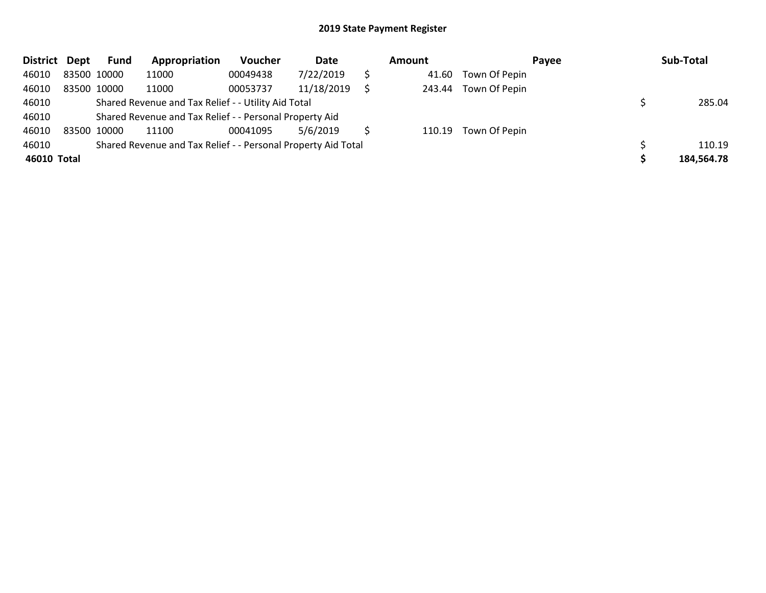| <b>District</b> | Dept        | Fund | Appropriation                                                 | Voucher  | Date       | Amount |                      | Pavee | Sub-Total  |
|-----------------|-------------|------|---------------------------------------------------------------|----------|------------|--------|----------------------|-------|------------|
| 46010           | 83500 10000 |      | 11000                                                         | 00049438 | 7/22/2019  | 41.60  | Town Of Pepin        |       |            |
| 46010           | 83500 10000 |      | 11000                                                         | 00053737 | 11/18/2019 |        | 243.44 Town Of Pepin |       |            |
| 46010           |             |      | Shared Revenue and Tax Relief - - Utility Aid Total           |          |            |        |                      |       | 285.04     |
| 46010           |             |      | Shared Revenue and Tax Relief - - Personal Property Aid       |          |            |        |                      |       |            |
| 46010           | 83500 10000 |      | 11100                                                         | 00041095 | 5/6/2019   |        | 110.19 Town Of Pepin |       |            |
| 46010           |             |      | Shared Revenue and Tax Relief - - Personal Property Aid Total |          |            |        |                      |       | 110.19     |
| 46010 Total     |             |      |                                                               |          |            |        |                      |       | 184,564.78 |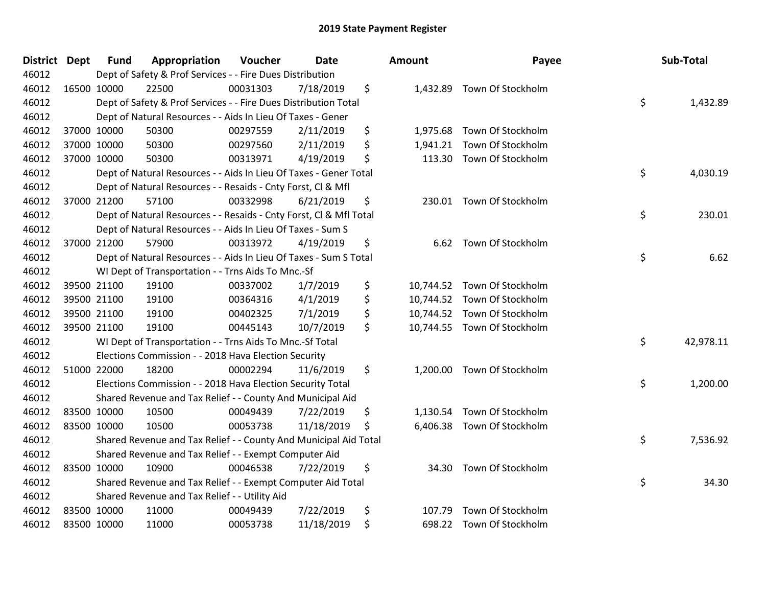| <b>District</b> | <b>Dept</b> | <b>Fund</b> | Appropriation                                                      | Voucher  | Date       | Amount         | Payee                       | Sub-Total       |
|-----------------|-------------|-------------|--------------------------------------------------------------------|----------|------------|----------------|-----------------------------|-----------------|
| 46012           |             |             | Dept of Safety & Prof Services - - Fire Dues Distribution          |          |            |                |                             |                 |
| 46012           |             | 16500 10000 | 22500                                                              | 00031303 | 7/18/2019  | \$             | 1,432.89 Town Of Stockholm  |                 |
| 46012           |             |             | Dept of Safety & Prof Services - - Fire Dues Distribution Total    |          |            |                |                             | \$<br>1,432.89  |
| 46012           |             |             | Dept of Natural Resources - - Aids In Lieu Of Taxes - Gener        |          |            |                |                             |                 |
| 46012           |             | 37000 10000 | 50300                                                              | 00297559 | 2/11/2019  | \$<br>1,975.68 | Town Of Stockholm           |                 |
| 46012           |             | 37000 10000 | 50300                                                              | 00297560 | 2/11/2019  | \$             | 1,941.21 Town Of Stockholm  |                 |
| 46012           |             | 37000 10000 | 50300                                                              | 00313971 | 4/19/2019  | \$<br>113.30   | Town Of Stockholm           |                 |
| 46012           |             |             | Dept of Natural Resources - - Aids In Lieu Of Taxes - Gener Total  |          |            |                |                             | \$<br>4,030.19  |
| 46012           |             |             | Dept of Natural Resources - - Resaids - Cnty Forst, CI & Mfl       |          |            |                |                             |                 |
| 46012           |             | 37000 21200 | 57100                                                              | 00332998 | 6/21/2019  | \$             | 230.01 Town Of Stockholm    |                 |
| 46012           |             |             | Dept of Natural Resources - - Resaids - Cnty Forst, Cl & Mfl Total |          |            |                |                             | \$<br>230.01    |
| 46012           |             |             | Dept of Natural Resources - - Aids In Lieu Of Taxes - Sum S        |          |            |                |                             |                 |
| 46012           |             | 37000 21200 | 57900                                                              | 00313972 | 4/19/2019  | \$             | 6.62 Town Of Stockholm      |                 |
| 46012           |             |             | Dept of Natural Resources - - Aids In Lieu Of Taxes - Sum S Total  |          |            |                |                             | \$<br>6.62      |
| 46012           |             |             | WI Dept of Transportation - - Trns Aids To Mnc.-Sf                 |          |            |                |                             |                 |
| 46012           |             | 39500 21100 | 19100                                                              | 00337002 | 1/7/2019   | \$             | 10,744.52 Town Of Stockholm |                 |
| 46012           |             | 39500 21100 | 19100                                                              | 00364316 | 4/1/2019   | \$             | 10,744.52 Town Of Stockholm |                 |
| 46012           |             | 39500 21100 | 19100                                                              | 00402325 | 7/1/2019   | \$             | 10,744.52 Town Of Stockholm |                 |
| 46012           |             | 39500 21100 | 19100                                                              | 00445143 | 10/7/2019  | \$             | 10,744.55 Town Of Stockholm |                 |
| 46012           |             |             | WI Dept of Transportation - - Trns Aids To Mnc.-Sf Total           |          |            |                |                             | \$<br>42,978.11 |
| 46012           |             |             | Elections Commission - - 2018 Hava Election Security               |          |            |                |                             |                 |
| 46012           |             | 51000 22000 | 18200                                                              | 00002294 | 11/6/2019  | \$             | 1,200.00 Town Of Stockholm  |                 |
| 46012           |             |             | Elections Commission - - 2018 Hava Election Security Total         |          |            |                |                             | \$<br>1,200.00  |
| 46012           |             |             | Shared Revenue and Tax Relief - - County And Municipal Aid         |          |            |                |                             |                 |
| 46012           |             | 83500 10000 | 10500                                                              | 00049439 | 7/22/2019  | \$<br>1,130.54 | Town Of Stockholm           |                 |
| 46012           |             | 83500 10000 | 10500                                                              | 00053738 | 11/18/2019 | \$<br>6,406.38 | Town Of Stockholm           |                 |
| 46012           |             |             | Shared Revenue and Tax Relief - - County And Municipal Aid Total   |          |            |                |                             | \$<br>7,536.92  |
| 46012           |             |             | Shared Revenue and Tax Relief - - Exempt Computer Aid              |          |            |                |                             |                 |
| 46012           |             | 83500 10000 | 10900                                                              | 00046538 | 7/22/2019  | \$             | 34.30 Town Of Stockholm     |                 |
| 46012           |             |             | Shared Revenue and Tax Relief - - Exempt Computer Aid Total        |          |            |                |                             | \$<br>34.30     |
| 46012           |             |             | Shared Revenue and Tax Relief - - Utility Aid                      |          |            |                |                             |                 |
| 46012           |             | 83500 10000 | 11000                                                              | 00049439 | 7/22/2019  | \$<br>107.79   | Town Of Stockholm           |                 |
| 46012           |             | 83500 10000 | 11000                                                              | 00053738 | 11/18/2019 | \$             | 698.22 Town Of Stockholm    |                 |

| ount      | Payee             | Sub-Total       |
|-----------|-------------------|-----------------|
| 1,432.89  | Town Of Stockholm | \$<br>1,432.89  |
| 1,975.68  | Town Of Stockholm |                 |
| 1,941.21  | Town Of Stockholm |                 |
| 113.30    | Town Of Stockholm |                 |
|           |                   | \$<br>4,030.19  |
| 230.01    | Town Of Stockholm |                 |
|           |                   | \$<br>230.01    |
| 6.62      | Town Of Stockholm |                 |
|           |                   | \$<br>6.62      |
| 10,744.52 | Town Of Stockholm |                 |
| 10,744.52 | Town Of Stockholm |                 |
| 10,744.52 | Town Of Stockholm |                 |
| 10,744.55 | Town Of Stockholm |                 |
|           |                   | \$<br>42,978.11 |
| 1,200.00  | Town Of Stockholm |                 |
|           |                   | \$<br>1,200.00  |
| 1,130.54  | Town Of Stockholm |                 |
| 6,406.38  | Town Of Stockholm |                 |
|           |                   | \$<br>7,536.92  |
| 34.30     | Town Of Stockholm |                 |
|           |                   | \$<br>34.30     |
| 107.79    | Town Of Stockholm |                 |
| 698.22    | Town Of Stockholm |                 |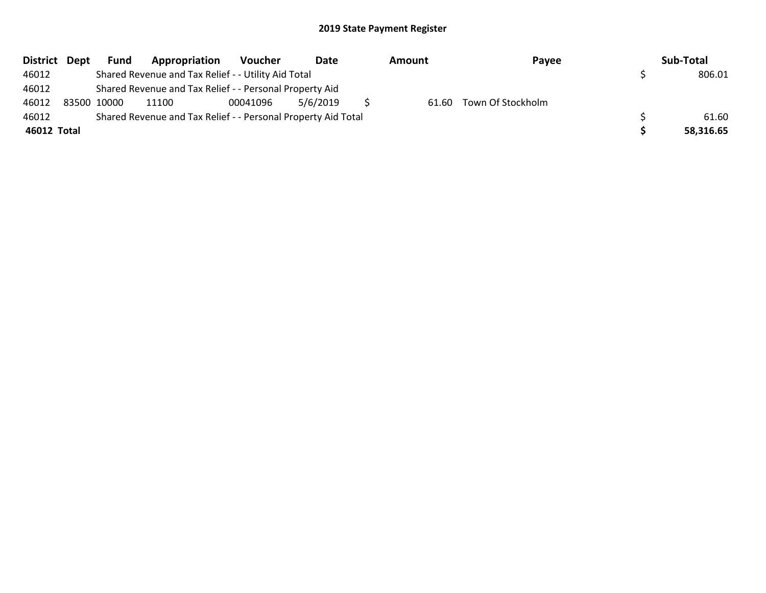| District Dept | Fund        | Appropriation                                                 | Voucher  | Date     | Amount | Payee                   | Sub-Total |
|---------------|-------------|---------------------------------------------------------------|----------|----------|--------|-------------------------|-----------|
| 46012         |             | Shared Revenue and Tax Relief - - Utility Aid Total           |          |          |        |                         | 806.01    |
| 46012         |             | Shared Revenue and Tax Relief - - Personal Property Aid       |          |          |        |                         |           |
| 46012         | 83500 10000 | 11100                                                         | 00041096 | 5/6/2019 |        | 61.60 Town Of Stockholm |           |
| 46012         |             | Shared Revenue and Tax Relief - - Personal Property Aid Total |          |          |        |                         | 61.60     |
| 46012 Total   |             |                                                               |          |          |        |                         | 58,316.65 |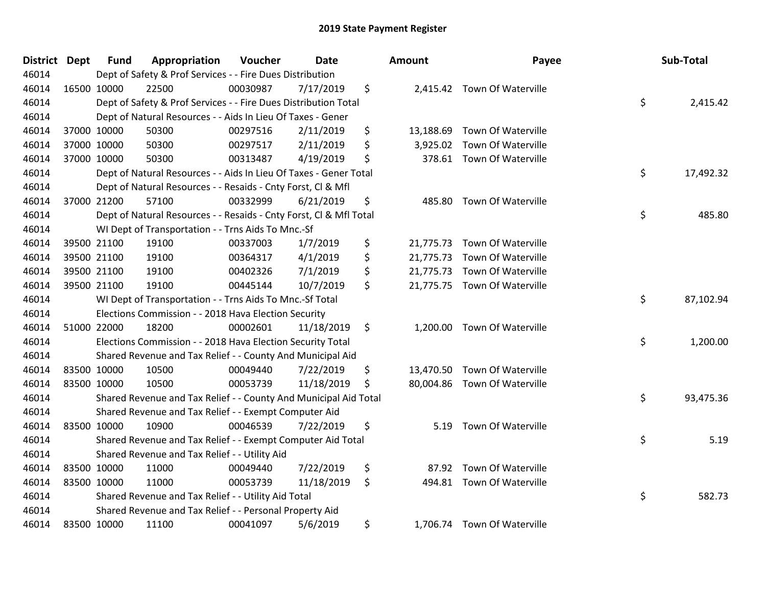| <b>District Dept</b> | <b>Fund</b> | Appropriation                                                      | Voucher  | <b>Date</b> | <b>Amount</b>   | Payee                        | Sub-Total       |
|----------------------|-------------|--------------------------------------------------------------------|----------|-------------|-----------------|------------------------------|-----------------|
| 46014                |             | Dept of Safety & Prof Services - - Fire Dues Distribution          |          |             |                 |                              |                 |
| 46014                | 16500 10000 | 22500                                                              | 00030987 | 7/17/2019   | \$              | 2,415.42 Town Of Waterville  |                 |
| 46014                |             | Dept of Safety & Prof Services - - Fire Dues Distribution Total    |          |             |                 |                              | \$<br>2,415.42  |
| 46014                |             | Dept of Natural Resources - - Aids In Lieu Of Taxes - Gener        |          |             |                 |                              |                 |
| 46014                | 37000 10000 | 50300                                                              | 00297516 | 2/11/2019   | \$<br>13,188.69 | Town Of Waterville           |                 |
| 46014                | 37000 10000 | 50300                                                              | 00297517 | 2/11/2019   | \$<br>3,925.02  | Town Of Waterville           |                 |
| 46014                | 37000 10000 | 50300                                                              | 00313487 | 4/19/2019   | \$              | 378.61 Town Of Waterville    |                 |
| 46014                |             | Dept of Natural Resources - - Aids In Lieu Of Taxes - Gener Total  |          |             |                 |                              | \$<br>17,492.32 |
| 46014                |             | Dept of Natural Resources - - Resaids - Cnty Forst, CI & Mfl       |          |             |                 |                              |                 |
| 46014                | 37000 21200 | 57100                                                              | 00332999 | 6/21/2019   | \$<br>485.80    | Town Of Waterville           |                 |
| 46014                |             | Dept of Natural Resources - - Resaids - Cnty Forst, Cl & Mfl Total |          |             |                 |                              | \$<br>485.80    |
| 46014                |             | WI Dept of Transportation - - Trns Aids To Mnc.-Sf                 |          |             |                 |                              |                 |
| 46014                | 39500 21100 | 19100                                                              | 00337003 | 1/7/2019    | \$<br>21,775.73 | Town Of Waterville           |                 |
| 46014                | 39500 21100 | 19100                                                              | 00364317 | 4/1/2019    | \$<br>21,775.73 | <b>Town Of Waterville</b>    |                 |
| 46014                | 39500 21100 | 19100                                                              | 00402326 | 7/1/2019    | \$<br>21,775.73 | <b>Town Of Waterville</b>    |                 |
| 46014                | 39500 21100 | 19100                                                              | 00445144 | 10/7/2019   | \$              | 21,775.75 Town Of Waterville |                 |
| 46014                |             | WI Dept of Transportation - - Trns Aids To Mnc.-Sf Total           |          |             |                 |                              | \$<br>87,102.94 |
| 46014                |             | Elections Commission - - 2018 Hava Election Security               |          |             |                 |                              |                 |
| 46014                | 51000 22000 | 18200                                                              | 00002601 | 11/18/2019  | \$<br>1,200.00  | Town Of Waterville           |                 |
| 46014                |             | Elections Commission - - 2018 Hava Election Security Total         |          |             |                 |                              | \$<br>1,200.00  |
| 46014                |             | Shared Revenue and Tax Relief - - County And Municipal Aid         |          |             |                 |                              |                 |
| 46014                | 83500 10000 | 10500                                                              | 00049440 | 7/22/2019   | \$              | 13,470.50 Town Of Waterville |                 |
| 46014                | 83500 10000 | 10500                                                              | 00053739 | 11/18/2019  | \$              | 80,004.86 Town Of Waterville |                 |
| 46014                |             | Shared Revenue and Tax Relief - - County And Municipal Aid Total   |          |             |                 |                              | \$<br>93,475.36 |
| 46014                |             | Shared Revenue and Tax Relief - - Exempt Computer Aid              |          |             |                 |                              |                 |
| 46014                | 83500 10000 | 10900                                                              | 00046539 | 7/22/2019   | \$<br>5.19      | Town Of Waterville           |                 |
| 46014                |             | Shared Revenue and Tax Relief - - Exempt Computer Aid Total        |          |             |                 |                              | \$<br>5.19      |
| 46014                |             | Shared Revenue and Tax Relief - - Utility Aid                      |          |             |                 |                              |                 |
| 46014                | 83500 10000 | 11000                                                              | 00049440 | 7/22/2019   | \$<br>87.92     | Town Of Waterville           |                 |
| 46014                | 83500 10000 | 11000                                                              | 00053739 | 11/18/2019  | \$              | 494.81 Town Of Waterville    |                 |
| 46014                |             | Shared Revenue and Tax Relief - - Utility Aid Total                |          |             |                 |                              | \$<br>582.73    |
| 46014                |             | Shared Revenue and Tax Relief - - Personal Property Aid            |          |             |                 |                              |                 |
| 46014                | 83500 10000 | 11100                                                              | 00041097 | 5/6/2019    | \$              | 1,706.74 Town Of Waterville  |                 |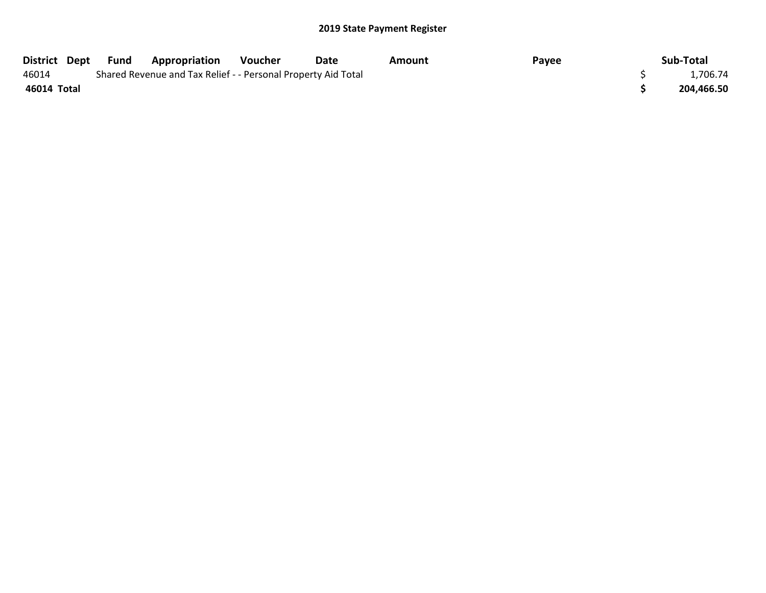| District Dept | Fund | <b>Appropriation</b>                                          | Voucher | Date | Amount | Payee | Sub-Total  |
|---------------|------|---------------------------------------------------------------|---------|------|--------|-------|------------|
| 46014         |      | Shared Revenue and Tax Relief - - Personal Property Aid Total |         |      |        |       | 1,706.74   |
| 46014 Total   |      |                                                               |         |      |        |       | 204,466.50 |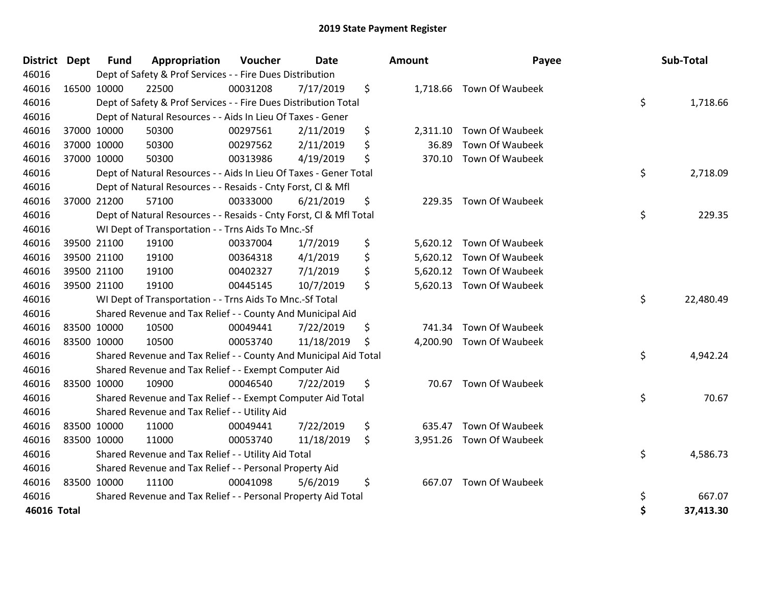| <b>District</b> | <b>Dept</b> | <b>Fund</b> | Appropriation                                                      | Voucher  | <b>Date</b> | Amount         | Payee                    | Sub-Total       |
|-----------------|-------------|-------------|--------------------------------------------------------------------|----------|-------------|----------------|--------------------------|-----------------|
| 46016           |             |             | Dept of Safety & Prof Services - - Fire Dues Distribution          |          |             |                |                          |                 |
| 46016           | 16500 10000 |             | 22500                                                              | 00031208 | 7/17/2019   | \$             | 1,718.66 Town Of Waubeek |                 |
| 46016           |             |             | Dept of Safety & Prof Services - - Fire Dues Distribution Total    |          |             |                |                          | \$<br>1,718.66  |
| 46016           |             |             | Dept of Natural Resources - - Aids In Lieu Of Taxes - Gener        |          |             |                |                          |                 |
| 46016           |             | 37000 10000 | 50300                                                              | 00297561 | 2/11/2019   | \$<br>2,311.10 | Town Of Waubeek          |                 |
| 46016           |             | 37000 10000 | 50300                                                              | 00297562 | 2/11/2019   | \$<br>36.89    | Town Of Waubeek          |                 |
| 46016           |             | 37000 10000 | 50300                                                              | 00313986 | 4/19/2019   | \$<br>370.10   | Town Of Waubeek          |                 |
| 46016           |             |             | Dept of Natural Resources - - Aids In Lieu Of Taxes - Gener Total  |          |             |                |                          | \$<br>2,718.09  |
| 46016           |             |             | Dept of Natural Resources - - Resaids - Cnty Forst, CI & Mfl       |          |             |                |                          |                 |
| 46016           |             | 37000 21200 | 57100                                                              | 00333000 | 6/21/2019   | \$<br>229.35   | Town Of Waubeek          |                 |
| 46016           |             |             | Dept of Natural Resources - - Resaids - Cnty Forst, CI & Mfl Total |          |             |                |                          | \$<br>229.35    |
| 46016           |             |             | WI Dept of Transportation - - Trns Aids To Mnc.-Sf                 |          |             |                |                          |                 |
| 46016           |             | 39500 21100 | 19100                                                              | 00337004 | 1/7/2019    | \$<br>5,620.12 | Town Of Waubeek          |                 |
| 46016           |             | 39500 21100 | 19100                                                              | 00364318 | 4/1/2019    | \$             | 5,620.12 Town Of Waubeek |                 |
| 46016           |             | 39500 21100 | 19100                                                              | 00402327 | 7/1/2019    | \$<br>5,620.12 | <b>Town Of Waubeek</b>   |                 |
| 46016           |             | 39500 21100 | 19100                                                              | 00445145 | 10/7/2019   | \$             | 5,620.13 Town Of Waubeek |                 |
| 46016           |             |             | WI Dept of Transportation - - Trns Aids To Mnc.-Sf Total           |          |             |                |                          | \$<br>22,480.49 |
| 46016           |             |             | Shared Revenue and Tax Relief - - County And Municipal Aid         |          |             |                |                          |                 |
| 46016           |             | 83500 10000 | 10500                                                              | 00049441 | 7/22/2019   | \$<br>741.34   | Town Of Waubeek          |                 |
| 46016           |             | 83500 10000 | 10500                                                              | 00053740 | 11/18/2019  | \$             | 4,200.90 Town Of Waubeek |                 |
| 46016           |             |             | Shared Revenue and Tax Relief - - County And Municipal Aid Total   |          |             |                |                          | \$<br>4,942.24  |
| 46016           |             |             | Shared Revenue and Tax Relief - - Exempt Computer Aid              |          |             |                |                          |                 |
| 46016           | 83500 10000 |             | 10900                                                              | 00046540 | 7/22/2019   | \$<br>70.67    | Town Of Waubeek          |                 |
| 46016           |             |             | Shared Revenue and Tax Relief - - Exempt Computer Aid Total        |          |             |                |                          | \$<br>70.67     |
| 46016           |             |             | Shared Revenue and Tax Relief - - Utility Aid                      |          |             |                |                          |                 |
| 46016           |             | 83500 10000 | 11000                                                              | 00049441 | 7/22/2019   | \$<br>635.47   | Town Of Waubeek          |                 |
| 46016           |             | 83500 10000 | 11000                                                              | 00053740 | 11/18/2019  | \$<br>3,951.26 | Town Of Waubeek          |                 |
| 46016           |             |             | Shared Revenue and Tax Relief - - Utility Aid Total                |          |             |                |                          | \$<br>4,586.73  |
| 46016           |             |             | Shared Revenue and Tax Relief - - Personal Property Aid            |          |             |                |                          |                 |
| 46016           | 83500 10000 |             | 11100                                                              | 00041098 | 5/6/2019    | \$<br>667.07   | <b>Town Of Waubeek</b>   |                 |
| 46016           |             |             | Shared Revenue and Tax Relief - - Personal Property Aid Total      |          |             |                |                          | \$<br>667.07    |
| 46016 Total     |             |             |                                                                    |          |             |                |                          | \$<br>37,413.30 |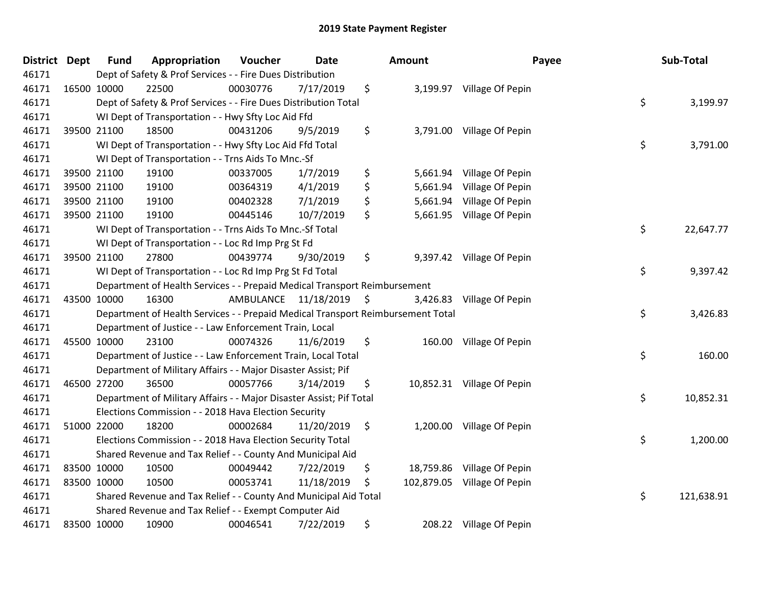| <b>District</b> | <b>Dept</b> | <b>Fund</b> | Appropriation                                                                   | Voucher  | <b>Date</b>             | Amount           |                            | Payee | Sub-Total  |
|-----------------|-------------|-------------|---------------------------------------------------------------------------------|----------|-------------------------|------------------|----------------------------|-------|------------|
| 46171           |             |             | Dept of Safety & Prof Services - - Fire Dues Distribution                       |          |                         |                  |                            |       |            |
| 46171           |             | 16500 10000 | 22500                                                                           | 00030776 | 7/17/2019               | \$               | 3,199.97 Village Of Pepin  |       |            |
| 46171           |             |             | Dept of Safety & Prof Services - - Fire Dues Distribution Total                 |          |                         |                  |                            | \$    | 3,199.97   |
| 46171           |             |             | WI Dept of Transportation - - Hwy Sfty Loc Aid Ffd                              |          |                         |                  |                            |       |            |
| 46171           |             | 39500 21100 | 18500                                                                           | 00431206 | 9/5/2019                | \$<br>3,791.00   | Village Of Pepin           |       |            |
| 46171           |             |             | WI Dept of Transportation - - Hwy Sfty Loc Aid Ffd Total                        |          |                         |                  |                            | \$    | 3,791.00   |
| 46171           |             |             | WI Dept of Transportation - - Trns Aids To Mnc.-Sf                              |          |                         |                  |                            |       |            |
| 46171           |             | 39500 21100 | 19100                                                                           | 00337005 | 1/7/2019                | \$               | 5,661.94 Village Of Pepin  |       |            |
| 46171           |             | 39500 21100 | 19100                                                                           | 00364319 | 4/1/2019                | \$<br>5,661.94   | Village Of Pepin           |       |            |
| 46171           |             | 39500 21100 | 19100                                                                           | 00402328 | 7/1/2019                | \$<br>5,661.94   | Village Of Pepin           |       |            |
| 46171           |             | 39500 21100 | 19100                                                                           | 00445146 | 10/7/2019               | \$<br>5,661.95   | Village Of Pepin           |       |            |
| 46171           |             |             | WI Dept of Transportation - - Trns Aids To Mnc.-Sf Total                        |          |                         |                  |                            | \$    | 22,647.77  |
| 46171           |             |             | WI Dept of Transportation - - Loc Rd Imp Prg St Fd                              |          |                         |                  |                            |       |            |
| 46171           |             | 39500 21100 | 27800                                                                           | 00439774 | 9/30/2019               | \$<br>9,397.42   | Village Of Pepin           |       |            |
| 46171           |             |             | WI Dept of Transportation - - Loc Rd Imp Prg St Fd Total                        |          |                         |                  |                            | \$    | 9,397.42   |
| 46171           |             |             | Department of Health Services - - Prepaid Medical Transport Reimbursement       |          |                         |                  |                            |       |            |
| 46171           |             | 43500 10000 | 16300                                                                           |          | AMBULANCE 11/18/2019 \$ | 3,426.83         | Village Of Pepin           |       |            |
| 46171           |             |             | Department of Health Services - - Prepaid Medical Transport Reimbursement Total |          |                         |                  |                            | \$    | 3,426.83   |
| 46171           |             |             | Department of Justice - - Law Enforcement Train, Local                          |          |                         |                  |                            |       |            |
| 46171           |             | 45500 10000 | 23100                                                                           | 00074326 | 11/6/2019               | \$               | 160.00 Village Of Pepin    |       |            |
| 46171           |             |             | Department of Justice - - Law Enforcement Train, Local Total                    |          |                         |                  |                            | \$    | 160.00     |
| 46171           |             |             | Department of Military Affairs - - Major Disaster Assist; Pif                   |          |                         |                  |                            |       |            |
| 46171           |             | 46500 27200 | 36500                                                                           | 00057766 | 3/14/2019               | \$               | 10,852.31 Village Of Pepin |       |            |
| 46171           |             |             | Department of Military Affairs - - Major Disaster Assist; Pif Total             |          |                         |                  |                            | \$    | 10,852.31  |
| 46171           |             |             | Elections Commission - - 2018 Hava Election Security                            |          |                         |                  |                            |       |            |
| 46171           |             | 51000 22000 | 18200                                                                           | 00002684 | 11/20/2019              | \$<br>1,200.00   | Village Of Pepin           |       |            |
| 46171           |             |             | Elections Commission - - 2018 Hava Election Security Total                      |          |                         |                  |                            | \$    | 1,200.00   |
| 46171           |             |             | Shared Revenue and Tax Relief - - County And Municipal Aid                      |          |                         |                  |                            |       |            |
| 46171           |             | 83500 10000 | 10500                                                                           | 00049442 | 7/22/2019               | \$<br>18,759.86  | Village Of Pepin           |       |            |
| 46171           |             | 83500 10000 | 10500                                                                           | 00053741 | 11/18/2019              | \$<br>102,879.05 | Village Of Pepin           |       |            |
| 46171           |             |             | Shared Revenue and Tax Relief - - County And Municipal Aid Total                |          |                         |                  |                            | \$    | 121,638.91 |
| 46171           |             |             | Shared Revenue and Tax Relief - - Exempt Computer Aid                           |          |                         |                  |                            |       |            |
| 46171           |             | 83500 10000 | 10900                                                                           | 00046541 | 7/22/2019               | \$               | 208.22 Village Of Pepin    |       |            |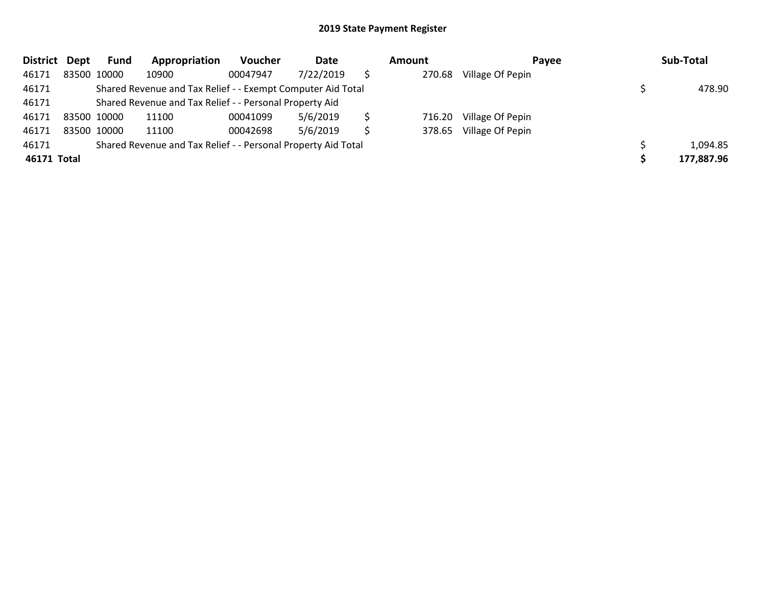| <b>District</b> | Dept | <b>Fund</b> | Appropriation                                                 | Voucher  | Date      | Amount | Payee            | Sub-Total  |
|-----------------|------|-------------|---------------------------------------------------------------|----------|-----------|--------|------------------|------------|
| 46171           |      | 83500 10000 | 10900                                                         | 00047947 | 7/22/2019 | 270.68 | Village Of Pepin |            |
| 46171           |      |             | Shared Revenue and Tax Relief - - Exempt Computer Aid Total   |          |           |        |                  | 478.90     |
| 46171           |      |             | Shared Revenue and Tax Relief - - Personal Property Aid       |          |           |        |                  |            |
| 46171           |      | 83500 10000 | 11100                                                         | 00041099 | 5/6/2019  | 716.20 | Village Of Pepin |            |
| 46171           |      | 83500 10000 | 11100                                                         | 00042698 | 5/6/2019  | 378.65 | Village Of Pepin |            |
| 46171           |      |             | Shared Revenue and Tax Relief - - Personal Property Aid Total |          |           |        |                  | 1,094.85   |
| 46171 Total     |      |             |                                                               |          |           |        |                  | 177,887.96 |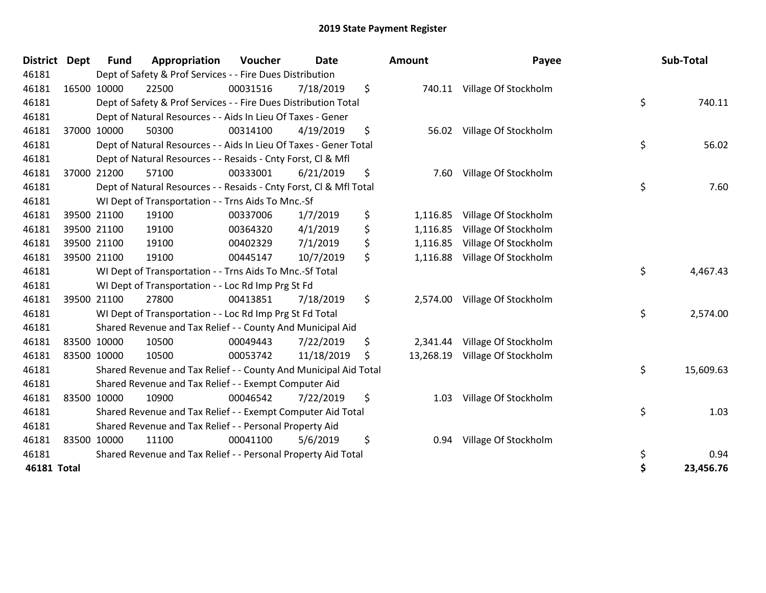| <b>District</b>    | <b>Dept</b> | <b>Fund</b> | Appropriation                                                      | Voucher  | <b>Date</b> | Amount          | Payee                       | Sub-Total       |
|--------------------|-------------|-------------|--------------------------------------------------------------------|----------|-------------|-----------------|-----------------------------|-----------------|
| 46181              |             |             | Dept of Safety & Prof Services - - Fire Dues Distribution          |          |             |                 |                             |                 |
| 46181              |             | 16500 10000 | 22500                                                              | 00031516 | 7/18/2019   | \$              | 740.11 Village Of Stockholm |                 |
| 46181              |             |             | Dept of Safety & Prof Services - - Fire Dues Distribution Total    |          |             |                 |                             | \$<br>740.11    |
| 46181              |             |             | Dept of Natural Resources - - Aids In Lieu Of Taxes - Gener        |          |             |                 |                             |                 |
| 46181              |             | 37000 10000 | 50300                                                              | 00314100 | 4/19/2019   | \$<br>56.02     | Village Of Stockholm        |                 |
| 46181              |             |             | Dept of Natural Resources - - Aids In Lieu Of Taxes - Gener Total  |          |             |                 |                             | \$<br>56.02     |
| 46181              |             |             | Dept of Natural Resources - - Resaids - Cnty Forst, Cl & Mfl       |          |             |                 |                             |                 |
| 46181              |             | 37000 21200 | 57100                                                              | 00333001 | 6/21/2019   | \$<br>7.60      | Village Of Stockholm        |                 |
| 46181              |             |             | Dept of Natural Resources - - Resaids - Cnty Forst, Cl & Mfl Total |          |             |                 |                             | \$<br>7.60      |
| 46181              |             |             | WI Dept of Transportation - - Trns Aids To Mnc.-Sf                 |          |             |                 |                             |                 |
| 46181              |             | 39500 21100 | 19100                                                              | 00337006 | 1/7/2019    | \$<br>1,116.85  | Village Of Stockholm        |                 |
| 46181              |             | 39500 21100 | 19100                                                              | 00364320 | 4/1/2019    | \$<br>1,116.85  | Village Of Stockholm        |                 |
| 46181              |             | 39500 21100 | 19100                                                              | 00402329 | 7/1/2019    | \$<br>1,116.85  | Village Of Stockholm        |                 |
| 46181              |             | 39500 21100 | 19100                                                              | 00445147 | 10/7/2019   | \$<br>1,116.88  | Village Of Stockholm        |                 |
| 46181              |             |             | WI Dept of Transportation - - Trns Aids To Mnc.-Sf Total           |          |             |                 |                             | \$<br>4,467.43  |
| 46181              |             |             | WI Dept of Transportation - - Loc Rd Imp Prg St Fd                 |          |             |                 |                             |                 |
| 46181              |             | 39500 21100 | 27800                                                              | 00413851 | 7/18/2019   | \$<br>2,574.00  | Village Of Stockholm        |                 |
| 46181              |             |             | WI Dept of Transportation - - Loc Rd Imp Prg St Fd Total           |          |             |                 |                             | \$<br>2,574.00  |
| 46181              |             |             | Shared Revenue and Tax Relief - - County And Municipal Aid         |          |             |                 |                             |                 |
| 46181              |             | 83500 10000 | 10500                                                              | 00049443 | 7/22/2019   | \$<br>2,341.44  | Village Of Stockholm        |                 |
| 46181              |             | 83500 10000 | 10500                                                              | 00053742 | 11/18/2019  | \$<br>13,268.19 | Village Of Stockholm        |                 |
| 46181              |             |             | Shared Revenue and Tax Relief - - County And Municipal Aid Total   |          |             |                 |                             | \$<br>15,609.63 |
| 46181              |             |             | Shared Revenue and Tax Relief - - Exempt Computer Aid              |          |             |                 |                             |                 |
| 46181              |             | 83500 10000 | 10900                                                              | 00046542 | 7/22/2019   | \$<br>1.03      | Village Of Stockholm        |                 |
| 46181              |             |             | Shared Revenue and Tax Relief - - Exempt Computer Aid Total        |          |             |                 |                             | \$<br>1.03      |
| 46181              |             |             | Shared Revenue and Tax Relief - - Personal Property Aid            |          |             |                 |                             |                 |
| 46181              |             | 83500 10000 | 11100                                                              | 00041100 | 5/6/2019    | \$<br>0.94      | Village Of Stockholm        |                 |
| 46181              |             |             | Shared Revenue and Tax Relief - - Personal Property Aid Total      |          |             |                 |                             | \$<br>0.94      |
| <b>46181 Total</b> |             |             |                                                                    |          |             |                 |                             | \$<br>23,456.76 |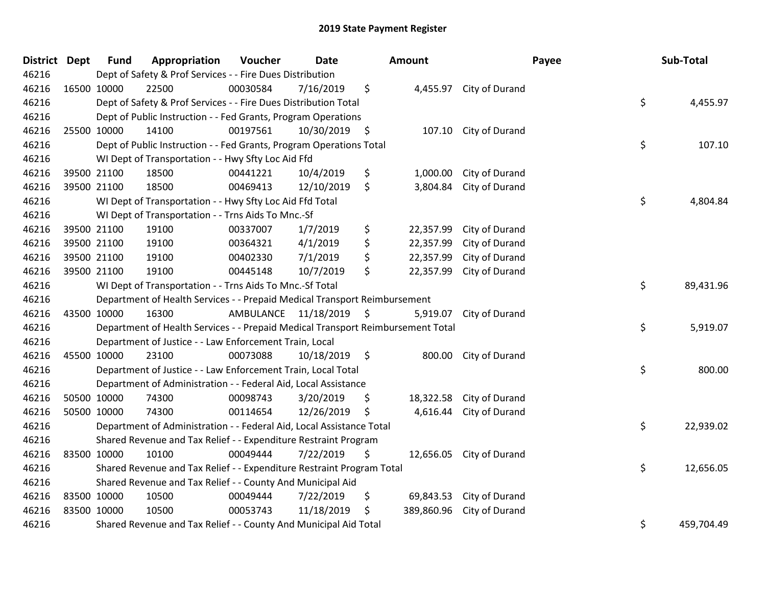| District Dept | <b>Fund</b> | Appropriation                                                                   | Voucher                 | <b>Date</b> |      | Amount     |                         | Payee | Sub-Total  |
|---------------|-------------|---------------------------------------------------------------------------------|-------------------------|-------------|------|------------|-------------------------|-------|------------|
| 46216         |             | Dept of Safety & Prof Services - - Fire Dues Distribution                       |                         |             |      |            |                         |       |            |
| 46216         | 16500 10000 | 22500                                                                           | 00030584                | 7/16/2019   | \$   |            | 4,455.97 City of Durand |       |            |
| 46216         |             | Dept of Safety & Prof Services - - Fire Dues Distribution Total                 |                         |             |      |            |                         | \$    | 4,455.97   |
| 46216         |             | Dept of Public Instruction - - Fed Grants, Program Operations                   |                         |             |      |            |                         |       |            |
| 46216         | 25500 10000 | 14100                                                                           | 00197561                | 10/30/2019  | \$   | 107.10     | City of Durand          |       |            |
| 46216         |             | Dept of Public Instruction - - Fed Grants, Program Operations Total             |                         |             |      |            |                         | \$    | 107.10     |
| 46216         |             | WI Dept of Transportation - - Hwy Sfty Loc Aid Ffd                              |                         |             |      |            |                         |       |            |
| 46216         | 39500 21100 | 18500                                                                           | 00441221                | 10/4/2019   | \$   | 1,000.00   | City of Durand          |       |            |
| 46216         | 39500 21100 | 18500                                                                           | 00469413                | 12/10/2019  | \$   | 3,804.84   | City of Durand          |       |            |
| 46216         |             | WI Dept of Transportation - - Hwy Sfty Loc Aid Ffd Total                        |                         |             |      |            |                         | \$    | 4,804.84   |
| 46216         |             | WI Dept of Transportation - - Trns Aids To Mnc.-Sf                              |                         |             |      |            |                         |       |            |
| 46216         | 39500 21100 | 19100                                                                           | 00337007                | 1/7/2019    | \$   | 22,357.99  | City of Durand          |       |            |
| 46216         | 39500 21100 | 19100                                                                           | 00364321                | 4/1/2019    | \$   | 22,357.99  | City of Durand          |       |            |
| 46216         | 39500 21100 | 19100                                                                           | 00402330                | 7/1/2019    | \$   | 22,357.99  | City of Durand          |       |            |
| 46216         | 39500 21100 | 19100                                                                           | 00445148                | 10/7/2019   | \$   | 22,357.99  | City of Durand          |       |            |
| 46216         |             | WI Dept of Transportation - - Trns Aids To Mnc.-Sf Total                        |                         |             |      |            |                         | \$    | 89,431.96  |
| 46216         |             | Department of Health Services - - Prepaid Medical Transport Reimbursement       |                         |             |      |            |                         |       |            |
| 46216         | 43500 10000 | 16300                                                                           | AMBULANCE 11/18/2019 \$ |             |      | 5,919.07   | City of Durand          |       |            |
| 46216         |             | Department of Health Services - - Prepaid Medical Transport Reimbursement Total |                         |             |      |            |                         | \$    | 5,919.07   |
| 46216         |             | Department of Justice - - Law Enforcement Train, Local                          |                         |             |      |            |                         |       |            |
| 46216         | 45500 10000 | 23100                                                                           | 00073088                | 10/18/2019  | - \$ | 800.00     | City of Durand          |       |            |
| 46216         |             | Department of Justice - - Law Enforcement Train, Local Total                    |                         |             |      |            |                         | \$    | 800.00     |
| 46216         |             | Department of Administration - - Federal Aid, Local Assistance                  |                         |             |      |            |                         |       |            |
| 46216         | 50500 10000 | 74300                                                                           | 00098743                | 3/20/2019   | \$   | 18,322.58  | City of Durand          |       |            |
| 46216         | 50500 10000 | 74300                                                                           | 00114654                | 12/26/2019  | \$   | 4,616.44   | City of Durand          |       |            |
| 46216         |             | Department of Administration - - Federal Aid, Local Assistance Total            |                         |             |      |            |                         | \$    | 22,939.02  |
| 46216         |             | Shared Revenue and Tax Relief - - Expenditure Restraint Program                 |                         |             |      |            |                         |       |            |
| 46216         | 83500 10000 | 10100                                                                           | 00049444                | 7/22/2019   | \$   | 12,656.05  | City of Durand          |       |            |
| 46216         |             | Shared Revenue and Tax Relief - - Expenditure Restraint Program Total           |                         |             |      |            |                         | \$    | 12,656.05  |
| 46216         |             | Shared Revenue and Tax Relief - - County And Municipal Aid                      |                         |             |      |            |                         |       |            |
| 46216         | 83500 10000 | 10500                                                                           | 00049444                | 7/22/2019   | \$   | 69,843.53  | City of Durand          |       |            |
| 46216         | 83500 10000 | 10500                                                                           | 00053743                | 11/18/2019  | \$   | 389,860.96 | City of Durand          |       |            |
| 46216         |             | Shared Revenue and Tax Relief - - County And Municipal Aid Total                |                         |             |      |            |                         | \$    | 459,704.49 |